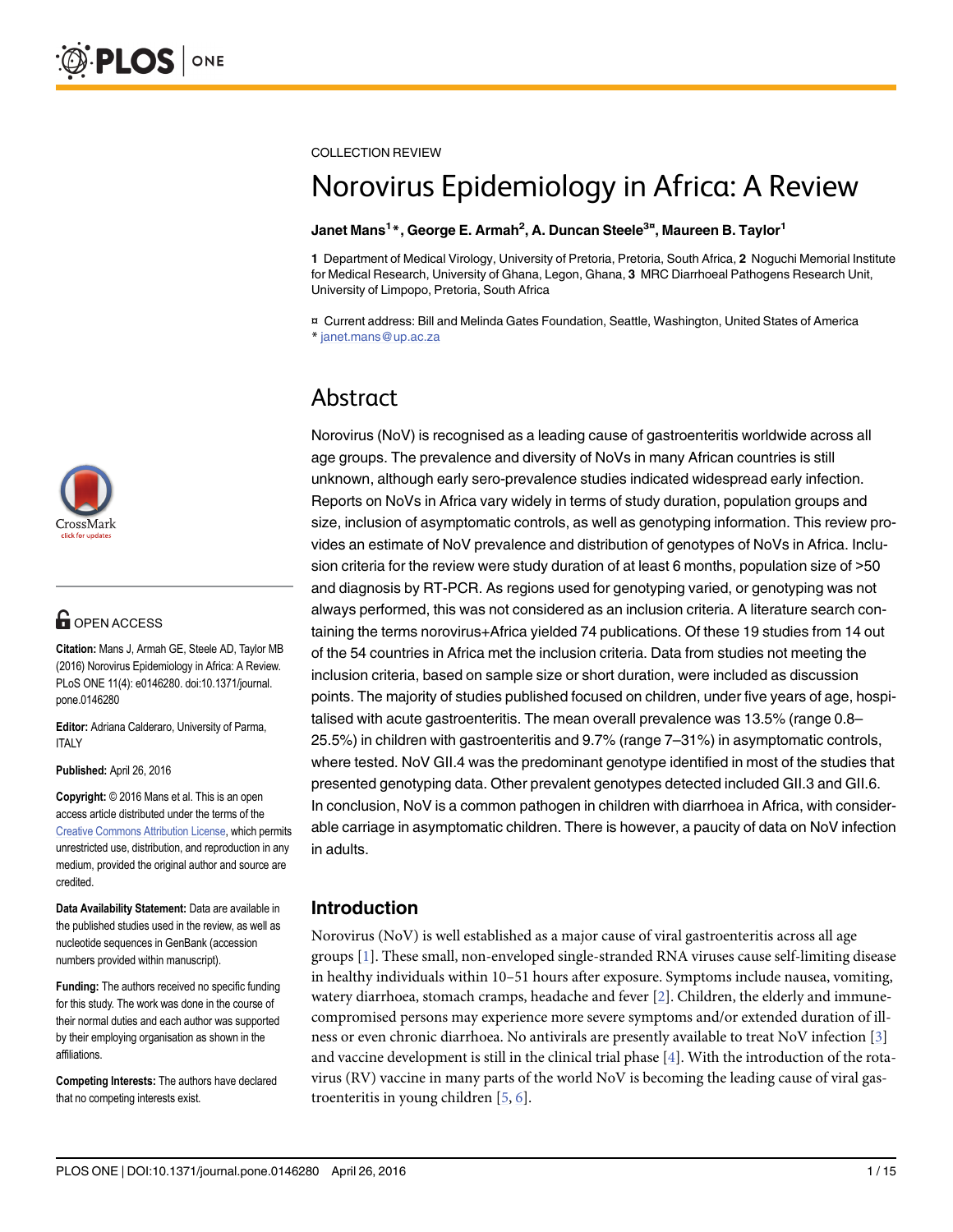

# **G** OPEN ACCESS

Citation: Mans J, Armah GE, Steele AD, Taylor MB (2016) Norovirus Epidemiology in Africa: A Review. PLoS ONE 11(4): e0146280. doi:10.1371/journal. pone.0146280

Editor: Adriana Calderaro, University of Parma, **ITALY** 

Published: April 26, 2016

Copyright: © 2016 Mans et al. This is an open access article distributed under the terms of the [Creative Commons Attribution License,](http://creativecommons.org/licenses/by/4.0/) which permits unrestricted use, distribution, and reproduction in any medium, provided the original author and source are credited.

Data Availability Statement: Data are available in the published studies used in the review, as well as nucleotide sequences in GenBank (accession numbers provided within manuscript).

Funding: The authors received no specific funding for this study. The work was done in the course of their normal duties and each author was supported by their employing organisation as shown in the affiliations.

Competing Interests: The authors have declared that no competing interests exist.

<span id="page-0-0"></span>COLLECTION REVIEW

# Norovirus Epidemiology in Africa: A Review

#### Janet Mans<sup>1</sup>\*, George E. Armah<sup>2</sup>, A. Duncan Steele<sup>3¤</sup>, Maureen B. Taylor<sup>1</sup>

1 Department of Medical Virology, University of Pretoria, Pretoria, South Africa, 2 Noguchi Memorial Institute for Medical Research, University of Ghana, Legon, Ghana, 3 MRC Diarrhoeal Pathogens Research Unit, University of Limpopo, Pretoria, South Africa

¤ Current address: Bill and Melinda Gates Foundation, Seattle, Washington, United States of America \* janet.mans@up.ac.za

# Abstract

Norovirus (NoV) is recognised as a leading cause of gastroenteritis worldwide across all age groups. The prevalence and diversity of NoVs in many African countries is still unknown, although early sero-prevalence studies indicated widespread early infection. Reports on NoVs in Africa vary widely in terms of study duration, population groups and size, inclusion of asymptomatic controls, as well as genotyping information. This review provides an estimate of NoV prevalence and distribution of genotypes of NoVs in Africa. Inclusion criteria for the review were study duration of at least 6 months, population size of >50 and diagnosis by RT-PCR. As regions used for genotyping varied, or genotyping was not always performed, this was not considered as an inclusion criteria. A literature search containing the terms norovirus+Africa yielded 74 publications. Of these 19 studies from 14 out of the 54 countries in Africa met the inclusion criteria. Data from studies not meeting the inclusion criteria, based on sample size or short duration, were included as discussion points. The majority of studies published focused on children, under five years of age, hospitalised with acute gastroenteritis. The mean overall prevalence was 13.5% (range 0.8– 25.5%) in children with gastroenteritis and 9.7% (range 7–31%) in asymptomatic controls, where tested. NoV GII.4 was the predominant genotype identified in most of the studies that presented genotyping data. Other prevalent genotypes detected included GII.3 and GII.6. In conclusion, NoV is a common pathogen in children with diarrhoea in Africa, with considerable carriage in asymptomatic children. There is however, a paucity of data on NoV infection in adults.

## Introduction

Norovirus (NoV) is well established as a major cause of viral gastroenteritis across all age groups [[1\]](#page-11-0). These small, non-enveloped single-stranded RNA viruses cause self-limiting disease in healthy individuals within 10–51 hours after exposure. Symptoms include nausea, vomiting, watery diarrhoea, stomach cramps, headache and fever [[2](#page-11-0)]. Children, the elderly and immunecompromised persons may experience more severe symptoms and/or extended duration of illness or even chronic diarrhoea. No antivirals are presently available to treat NoV infection [\[3](#page-11-0)] and vaccine development is still in the clinical trial phase  $[4]$  $[4]$ . With the introduction of the rotavirus (RV) vaccine in many parts of the world NoV is becoming the leading cause of viral gastroenteritis in young children [\[5,](#page-12-0) [6](#page-12-0)].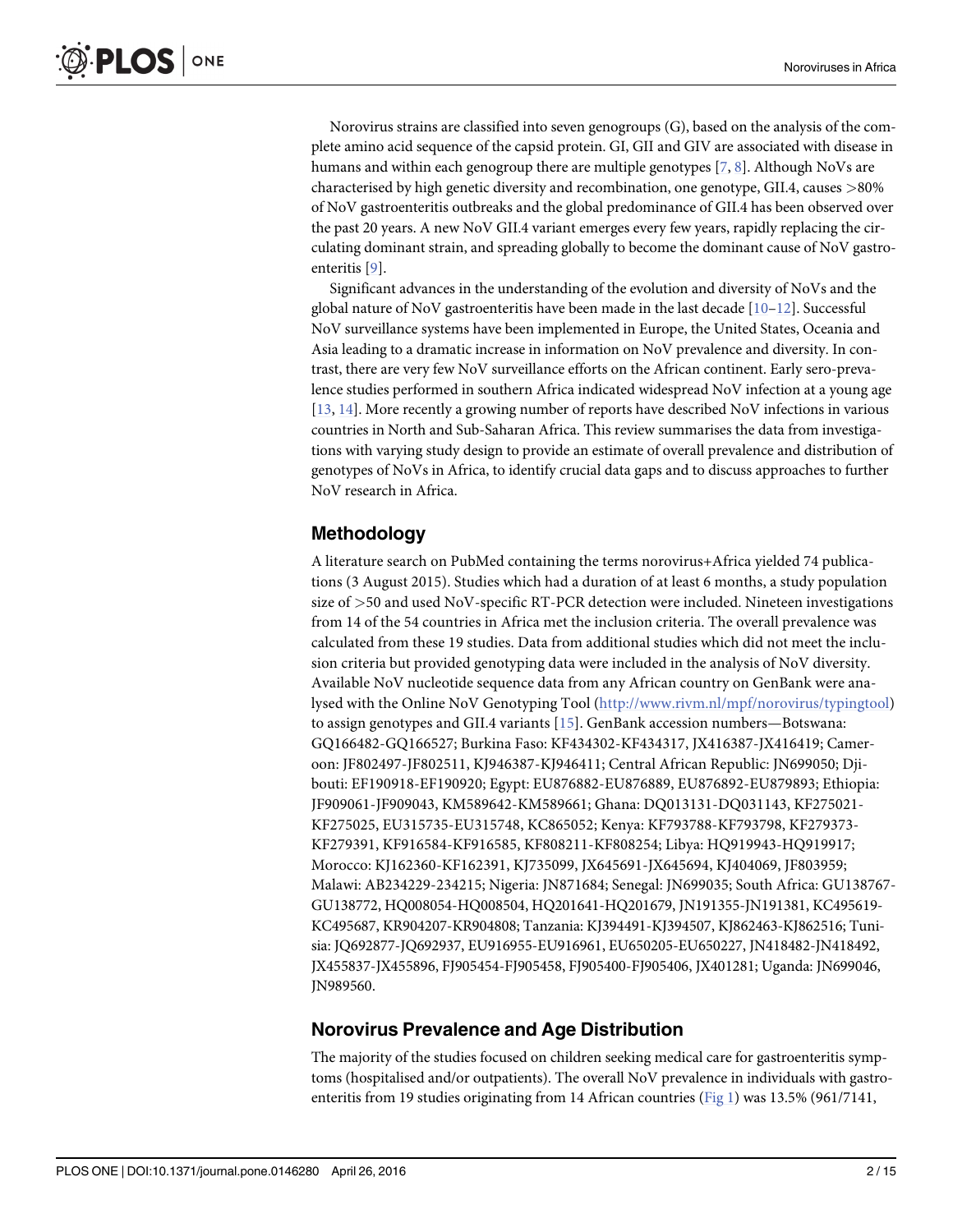<span id="page-1-0"></span>Norovirus strains are classified into seven genogroups (G), based on the analysis of the complete amino acid sequence of the capsid protein. GI, GII and GIV are associated with disease in humans and within each genogroup there are multiple genotypes  $[7, 8]$  $[7, 8]$  $[7, 8]$  $[7, 8]$ . Although NoVs are characterised by high genetic diversity and recombination, one genotype, GII.4, causes >80% of NoV gastroenteritis outbreaks and the global predominance of GII.4 has been observed over the past 20 years. A new NoV GII.4 variant emerges every few years, rapidly replacing the circulating dominant strain, and spreading globally to become the dominant cause of NoV gastroenteritis [[9\]](#page-12-0).

Significant advances in the understanding of the evolution and diversity of NoVs and the global nature of NoV gastroenteritis have been made in the last decade  $[10-12]$  $[10-12]$  $[10-12]$  $[10-12]$ . Successful NoV surveillance systems have been implemented in Europe, the United States, Oceania and Asia leading to a dramatic increase in information on NoV prevalence and diversity. In contrast, there are very few NoV surveillance efforts on the African continent. Early sero-prevalence studies performed in southern Africa indicated widespread NoV infection at a young age [\[13](#page-12-0), [14\]](#page-12-0). More recently a growing number of reports have described NoV infections in various countries in North and Sub-Saharan Africa. This review summarises the data from investigations with varying study design to provide an estimate of overall prevalence and distribution of genotypes of NoVs in Africa, to identify crucial data gaps and to discuss approaches to further NoV research in Africa.

#### Methodology

A literature search on PubMed containing the terms norovirus+Africa yielded 74 publications (3 August 2015). Studies which had a duration of at least 6 months, a study population size of >50 and used NoV-specific RT-PCR detection were included. Nineteen investigations from 14 of the 54 countries in Africa met the inclusion criteria. The overall prevalence was calculated from these 19 studies. Data from additional studies which did not meet the inclusion criteria but provided genotyping data were included in the analysis of NoV diversity. Available NoV nucleotide sequence data from any African country on GenBank were analysed with the Online NoV Genotyping Tool [\(http://www.rivm.nl/mpf/norovirus/typingtool\)](http://www.rivm.nl/mpf/norovirus/typingtool) to assign genotypes and GII.4 variants [\[15](#page-12-0)]. GenBank accession numbers—Botswana: GQ166482-GQ166527; Burkina Faso: KF434302-KF434317, JX416387-JX416419; Cameroon: JF802497-JF802511, KJ946387-KJ946411; Central African Republic: JN699050; Djibouti: EF190918-EF190920; Egypt: EU876882-EU876889, EU876892-EU879893; Ethiopia: JF909061-JF909043, KM589642-KM589661; Ghana: DQ013131-DQ031143, KF275021- KF275025, EU315735-EU315748, KC865052; Kenya: KF793788-KF793798, KF279373- KF279391, KF916584-KF916585, KF808211-KF808254; Libya: HQ919943-HQ919917; Morocco: KJ162360-KF162391, KJ735099, JX645691-JX645694, KJ404069, JF803959; Malawi: AB234229-234215; Nigeria: JN871684; Senegal: JN699035; South Africa: GU138767- GU138772, HQ008054-HQ008504, HQ201641-HQ201679, JN191355-JN191381, KC495619- KC495687, KR904207-KR904808; Tanzania: KJ394491-KJ394507, KJ862463-KJ862516; Tunisia: JQ692877-JQ692937, EU916955-EU916961, EU650205-EU650227, JN418482-JN418492, JX455837-JX455896, FJ905454-FJ905458, FJ905400-FJ905406, JX401281; Uganda: JN699046, JN989560.

#### Norovirus Prevalence and Age Distribution

The majority of the studies focused on children seeking medical care for gastroenteritis symptoms (hospitalised and/or outpatients). The overall NoV prevalence in individuals with gastroenteritis from 19 studies originating from 14 African countries ( $Fig 1$ ) was 13.5% (961/7141,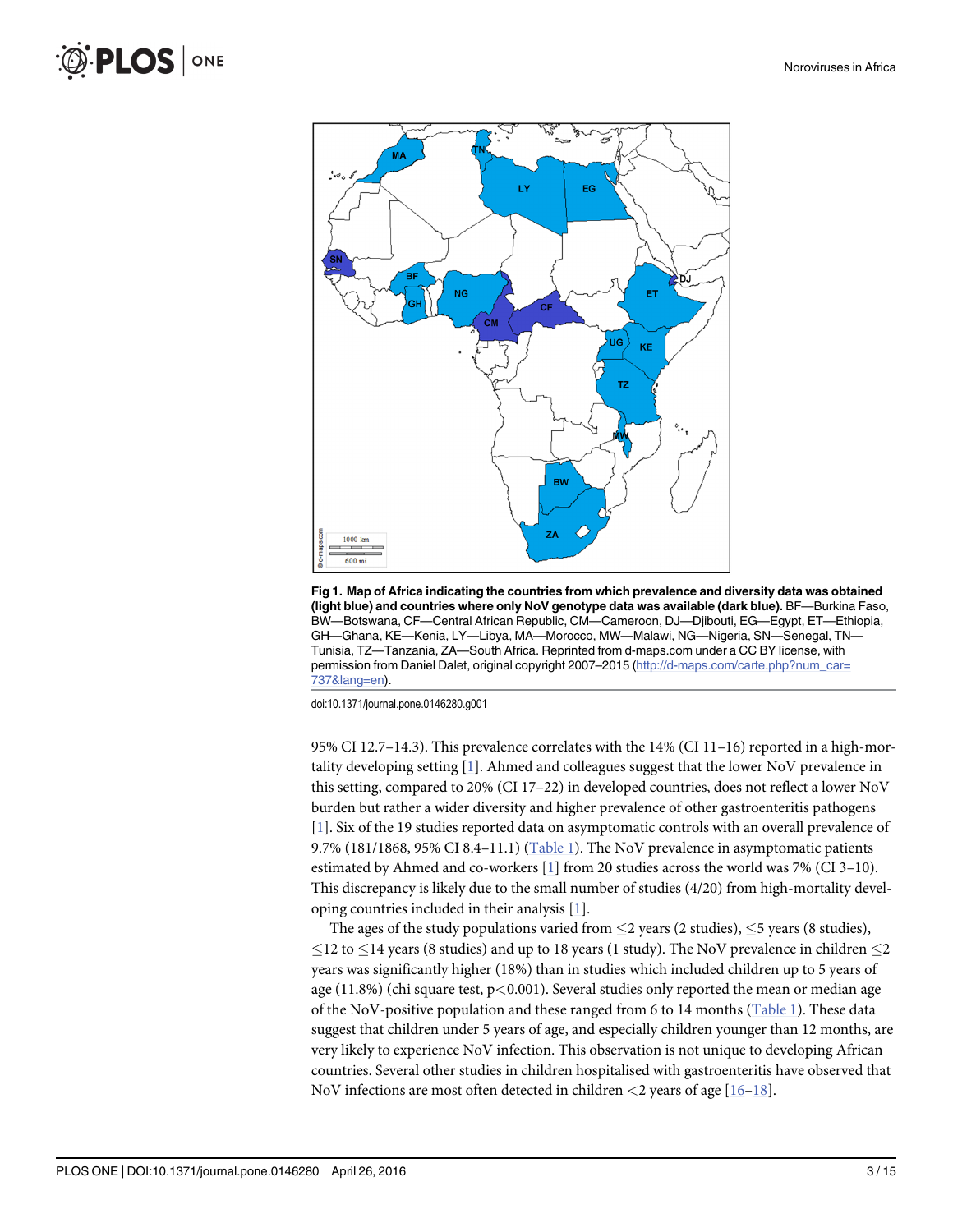<span id="page-2-0"></span>

[Fig 1. M](#page-1-0)ap of Africa indicating the countries from which prevalence and diversity data was obtained (light blue) and countries where only NoV genotype data was available (dark blue). BF—Burkina Faso, BW—Botswana, CF—Central African Republic, CM—Cameroon, DJ—Djibouti, EG—Egypt, ET—Ethiopia, GH—Ghana, KE—Kenia, LY—Libya, MA—Morocco, MW—Malawi, NG—Nigeria, SN—Senegal, TN— Tunisia, TZ—Tanzania, ZA—South Africa. Reprinted from d-maps.com under a CC BY license, with permission from Daniel Dalet, original copyright 2007–2015 ([http://d-maps.com/carte.php?num\\_car=](http://d-maps.com/carte.php?num_car=737&lang�=�en) [737&lang=en\)](http://d-maps.com/carte.php?num_car=737&lang�=�en).

doi:10.1371/journal.pone.0146280.g001

95% CI 12.7–14.3). This prevalence correlates with the  $14%$  (CI 11–16) reported in a high-mortality developing setting [\[1\]](#page-11-0). Ahmed and colleagues suggest that the lower NoV prevalence in this setting, compared to 20% (CI 17–22) in developed countries, does not reflect a lower NoV burden but rather a wider diversity and higher prevalence of other gastroenteritis pathogens [\[1](#page-11-0)]. Six of the 19 studies reported data on asymptomatic controls with an overall prevalence of 9.7% (181/1868, 95% CI 8.4–11.1) [\(Table 1](#page-3-0)). The NoV prevalence in asymptomatic patients estimated by Ahmed and co-workers  $[1]$  $[1]$  $[1]$  from 20 studies across the world was 7% (CI 3–10). This discrepancy is likely due to the small number of studies (4/20) from high-mortality developing countries included in their analysis [[1\]](#page-11-0).

The ages of the study populations varied from  $\leq$  2 years (2 studies),  $\leq$  5 years (8 studies),  $\leq$ 12 to  $\leq$ 14 years (8 studies) and up to 18 years (1 study). The NoV prevalence in children  $\leq$ 2 years was significantly higher (18%) than in studies which included children up to 5 years of age (11.8%) (chi square test,  $p < 0.001$ ). Several studies only reported the mean or median age of the NoV-positive population and these ranged from 6 to 14 months [\(Table 1](#page-3-0)). These data suggest that children under 5 years of age, and especially children younger than 12 months, are very likely to experience NoV infection. This observation is not unique to developing African countries. Several other studies in children hospitalised with gastroenteritis have observed that NoV infections are most often detected in children  $\langle 2 \rangle$  years of age [[16](#page-12-0)–[18](#page-12-0)].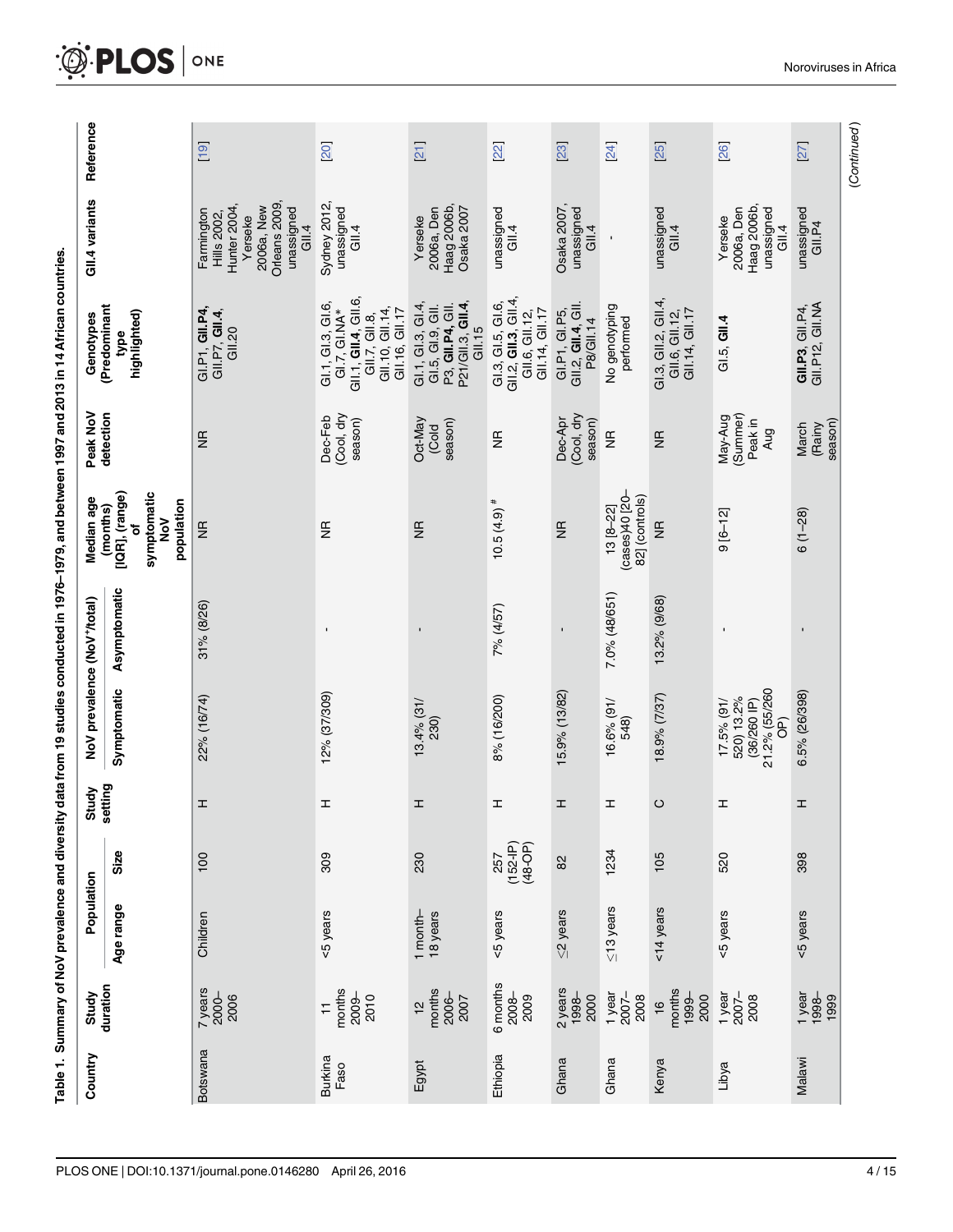| i<br>D<br>I<br>I                  |
|-----------------------------------|
|                                   |
|                                   |
|                                   |
| <br> <br>                         |
|                                   |
|                                   |
|                                   |
|                                   |
| $\vdots$                          |
|                                   |
|                                   |
|                                   |
|                                   |
|                                   |
|                                   |
|                                   |
| <b>Contract Contract Contract</b> |
|                                   |
|                                   |
|                                   |
|                                   |
|                                   |
|                                   |
|                                   |
|                                   |
|                                   |
|                                   |
|                                   |
|                                   |
|                                   |
|                                   |
|                                   |
|                                   |
|                                   |
|                                   |
|                                   |
|                                   |
|                                   |
|                                   |
|                                   |
|                                   |
|                                   |
|                                   |
|                                   |
|                                   |
|                                   |
|                                   |
|                                   |
|                                   |
|                                   |
|                                   |
|                                   |
|                                   |
|                                   |
|                                   |
|                                   |
|                                   |
|                                   |
|                                   |
|                                   |
|                                   |
|                                   |
|                                   |
| revalence                         |
|                                   |
|                                   |
|                                   |
|                                   |
|                                   |
|                                   |
|                                   |
|                                   |
|                                   |
|                                   |
|                                   |
|                                   |
|                                   |
|                                   |
|                                   |
|                                   |
|                                   |

<span id="page-3-0"></span>

| Reference                                |                                                         | $\boxed{19}$                                                                                                     | 20                                                                                                         | 21                                                                                           | 22                                                                                    | 23                                                       | 24                                                | 25                                                      | 26                                                                                 | 27                                 | (Continued) |
|------------------------------------------|---------------------------------------------------------|------------------------------------------------------------------------------------------------------------------|------------------------------------------------------------------------------------------------------------|----------------------------------------------------------------------------------------------|---------------------------------------------------------------------------------------|----------------------------------------------------------|---------------------------------------------------|---------------------------------------------------------|------------------------------------------------------------------------------------|------------------------------------|-------------|
| GII.4 variants                           |                                                         | Orleans 2009<br>Hunter 2004,<br>2006a, New<br>unassigned<br>Farmington<br><b>Hills</b> 2002,<br>Yerseke<br>GII.4 | Sydney 2012,<br>unassigned<br>GII.4                                                                        | Haag 2006b,<br>Osaka 2007<br>2006a, Den<br>Yerseke                                           | unassigned<br>Gll.4                                                                   | unassigned<br>Osaka 2007<br>GII.4                        | ı                                                 | unassigned<br>GII.4                                     | Haag 2006b,<br>2006a, Den<br>unassigned<br>Yerseke<br>GII.4                        | unassigned<br>GILPA                |             |
| (Predominant<br>Genotypes                | highlighted)<br>type                                    | GI.P1, GII.P4,<br>GII.P7, GII.4,<br>GII.20                                                                       | GIL1, GIL4, GIL6<br>G1.1, G1.3, G1.6<br>GII.7, GII.8,<br>GII.10, GII.14,<br>GII.16, GII.17<br>GI.7, GI.NA* | P21/GII.3, <b>GII.4</b> ,<br>GII.15<br>GL1, GL3, GL4<br>P3, GII.P4, GII.<br>GI.5, GI.9, GII. | GI.3, GI.5, GI.6,<br>GII.2, <b>GII.3</b> , GII.4,<br>GII.14, GII.17<br>GII.6, GII.12, | GI.P1, GI.P5,<br>GII.2, <b>GII.4</b> , GII.<br>P8/GII.14 | No genotyping<br>performed                        | GI.3, GII.2, GII.4,<br>GII.14, GII.17<br>GII.6, GII.12, | GL.5, GII.4                                                                        | GII.P12, GII.NA<br>GII.P3, GII.P4, |             |
| Peak NoV<br>detection                    |                                                         | $\frac{\alpha}{2}$                                                                                               | (Cool, dry<br>Dec-Feb<br>season)                                                                           | Oct-May<br>season)<br>(Cold                                                                  | $\frac{\pi}{2}$                                                                       | (Cool, dry<br>Dec-Apr<br>season)                         | $\frac{\pi}{2}$                                   | $\frac{\pi}{2}$                                         | (Summer)<br>May-Aug<br>Peak in<br>Aug                                              | season)<br>March<br>(Rainy         |             |
| Median age<br>(months)                   | symptomatic<br>[IQR], (range)<br>population<br>NoV<br>٥ | $\frac{\pi}{2}$                                                                                                  | $\frac{\pi}{2}$                                                                                            | $\frac{\pi}{2}$                                                                              | $10.5(4.9)$ #                                                                         | $\frac{\alpha}{2}$                                       | -02] 04(sespt)<br>82] (controls)<br>$13 [8 - 22]$ | $\mathfrak{g}$                                          | $9[6-12]$                                                                          | $6(1-28)$                          |             |
|                                          | Asymptomatic                                            | 31% (8/26)                                                                                                       |                                                                                                            | $\blacksquare$                                                                               | 7% (4/57)                                                                             |                                                          | 7.0% (48/651)                                     | 13.2% (9/68)                                            |                                                                                    | $\blacksquare$                     |             |
| NoV prevalence (NoV <sup>+</sup> /total) | Symptomatic                                             | 22% (16/74)                                                                                                      | 12% (37/309)                                                                                               | $13.4%$ (31/<br>230)                                                                         | 8% (16/200)                                                                           | 15.9% (13/82)                                            | 16.6% (91/<br>548)                                | 18.9% (7/37)                                            | 21.2% (55/260<br>520) 13.2%<br>$(36/260)$ P)<br>$17.5%$ (91/<br>$\widehat{\Theta}$ | 6.5% (26/398)                      |             |
| Study<br>setting                         |                                                         | I                                                                                                                | H                                                                                                          | I                                                                                            | I                                                                                     | I                                                        | I                                                 | ပ                                                       | I                                                                                  | I                                  |             |
|                                          | Size                                                    | 100                                                                                                              | 309                                                                                                        | 230                                                                                          | $(152 - IP)$<br>$(48-OP)$<br>257                                                      | 82                                                       | 1234                                              | 105                                                     | 520                                                                                | 398                                |             |
| Population                               | Age range                                               | Children                                                                                                         | <5 years                                                                                                   | 1 month-<br>18 years                                                                         | <5 years                                                                              | $\leq$ 2 years                                           | $\leq$ 13 years                                   | <14 years                                               | <5 years                                                                           | <5 years                           |             |
| duration<br>Study                        |                                                         | 7 years<br>2000-<br>2006                                                                                         | months<br>2009–<br>2010<br>$\overline{1}$                                                                  | months<br>2006<br>2007<br>$\frac{1}{2}$                                                      | 6 months<br>2008-<br>2009                                                             | $2$ years<br>1998-<br>2000                               | 1 year<br>$2007 -$<br>2008                        | months<br>1999-<br>2000<br>16                           | 1 year<br>$2007 -$<br>2008                                                         | 1 year<br>1998–<br>1999            |             |
| Country                                  |                                                         | <b>Botswana</b>                                                                                                  | <b>Burkina</b><br>Faso                                                                                     | Egypt                                                                                        | Ethiopia                                                                              | Ghana                                                    | Ghana                                             | Kenya                                                   | Libya                                                                              | Malawi                             |             |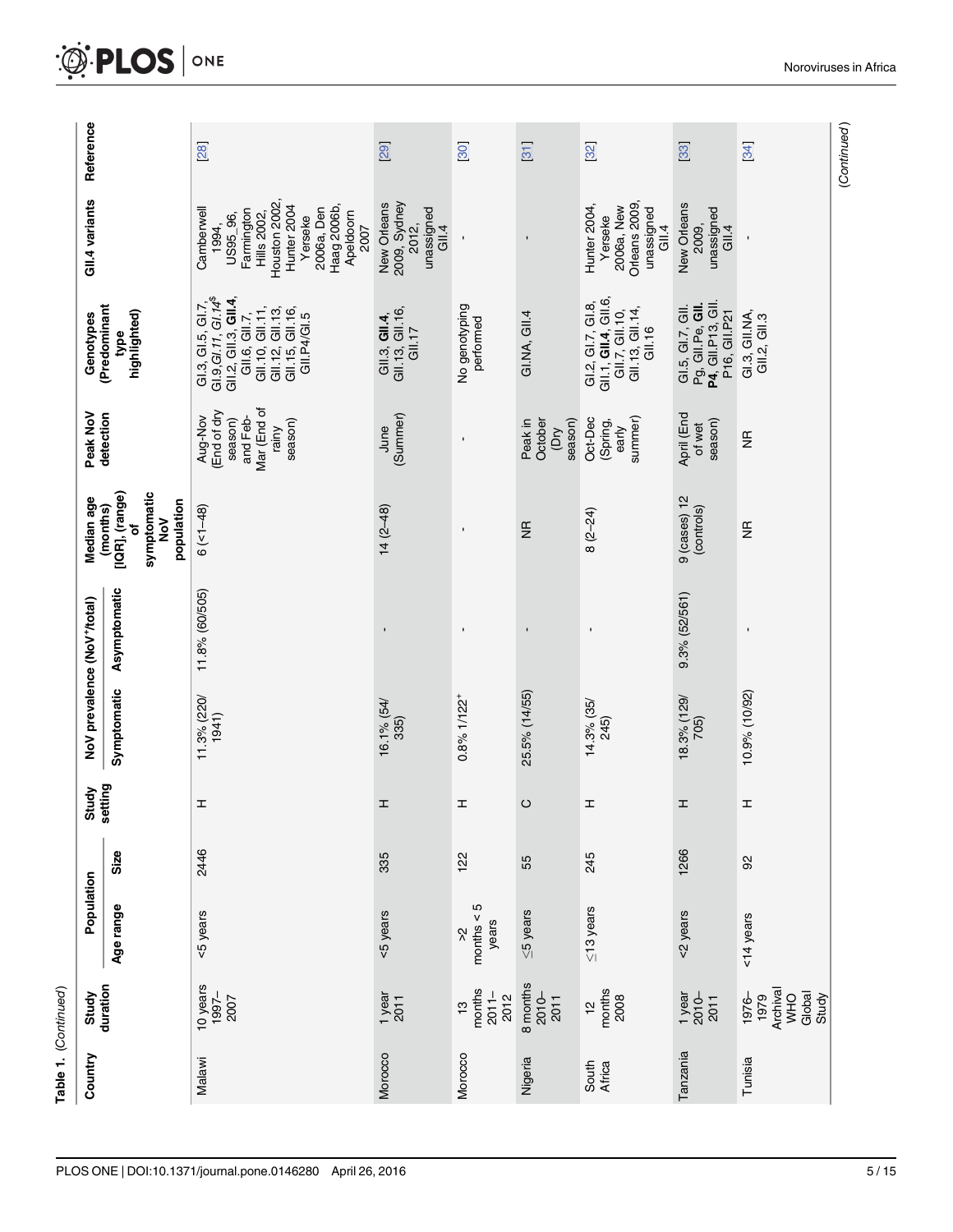<span id="page-4-0"></span>

|                 | Table 1. (Continued)                                       |                             |      |                  |                            |                                          |                                                                     |                                                                                  |                                                                                                                                                                                |                                                                                                                                                                     |             |
|-----------------|------------------------------------------------------------|-----------------------------|------|------------------|----------------------------|------------------------------------------|---------------------------------------------------------------------|----------------------------------------------------------------------------------|--------------------------------------------------------------------------------------------------------------------------------------------------------------------------------|---------------------------------------------------------------------------------------------------------------------------------------------------------------------|-------------|
| Country         | Study                                                      | Population                  |      | Study<br>setting |                            | NoV prevalence (NoV <sup>+</sup> /total) | Median age                                                          | Peak NoV                                                                         | Genotypes                                                                                                                                                                      | GII.4 variants                                                                                                                                                      | Reference   |
|                 | duration                                                   | Age range                   | Size |                  | Symptomatic                | Asymptomatic                             | [IQR], (range)<br>symptomatic<br>population<br>(months)<br>NoV<br>٥ | detection                                                                        | (Predominant<br>highlighted)<br>type                                                                                                                                           |                                                                                                                                                                     |             |
| Malawi          | 10 years<br>$1997 -$<br>2007                               | <5 years                    | 2446 | I                | 11.3% (220/<br>1941)       | 11.8% (60/505)                           | $6$ (<1-48)                                                         | Mar (End of<br>(End of dry<br>and Feb-<br>Aug-Nov<br>season)<br>season)<br>rainy | GI.3, GI.5, GI.7,<br>GI.9, GI.11, GI.14 <sup>\$</sup><br>GII.2, GII.3, <b>GII.4</b> ,<br>GII.6, GII.7,<br>GII.10, GII.11,<br>GII.12, GII.13,<br>GII.15, GII.16,<br>GII.P4/GI.5 | Houston 2002,<br>Hunter <sub>2004</sub><br>Haag 2006b,<br>2006a, Den<br>Camberwell<br>Farmington<br>Apeldoom<br>Hills 2002,<br>US95_96,<br>Yerseke<br>1994,<br>2007 | 28          |
| Morocco         | $\frac{1}{2011}$                                           | <5 years                    | 335  | I                | 16.1% (54/<br>335)         | $\blacksquare$                           | $14(2-48)$                                                          | (Summer)<br>June                                                                 | GII.13, GII.16,<br>GII.3, GII.4,<br>GII.17                                                                                                                                     | New Orleans<br>2009, Sydney<br>unassigned<br>2012,<br>GII.4                                                                                                         | 29          |
| Morocco         | months<br>$2011 -$<br>2012<br><u>ო</u>                     | months $< 5$<br>years<br>Š, | 122  | I                | $0.8\%$ 1/122 <sup>+</sup> | $\blacksquare$                           | $\blacksquare$                                                      | $\blacksquare$                                                                   | No genotyping<br>performed                                                                                                                                                     |                                                                                                                                                                     | 30          |
| Nigeria         | 8 months<br>2010-<br>2011                                  | $\leq$ 5 years              | 55   | $\circ$          | 25.5% (14/55)              | ı                                        | $\frac{1}{2}$                                                       | season)<br>October<br>Peak in<br><b>Ad</b>                                       | GI.NA, GII.4                                                                                                                                                                   | $\blacksquare$                                                                                                                                                      | 31          |
| South<br>Africa | months<br>2008<br>$\frac{1}{2}$                            | $\leq$ 13 years             | 245  | I                | 14.3% (35/<br>245)         | $\blacksquare$                           | $8(2 - 24)$                                                         | summer)<br>Oct-Dec<br>(Spring,<br>early                                          | GI.2, GI.7, GI.8,<br>GII.1, <b>GII.4</b> , GII.6,<br>GII.7, GII.10,<br>GII.13, GII.14,<br>GII.16                                                                               | Orleans 2009,<br>Hunter 2004,<br>2006a, New<br>unassigned<br>Yerseke<br>GII.4                                                                                       | 32          |
| Tanzania        | 1 year<br>$2010-$<br>2011                                  | <2 years                    | 1266 | I                | 18.3% (129/<br>705)        | 9.3% (52/561)                            | $9$ (cases) $12$<br>(controls)                                      | April (End<br>season)<br>of wet                                                  | GI.5, GI.7, GII.<br>Pg, GII.Pe, <b>GII.</b><br>P4, GII.P13, GII.<br>P16, GII.P21                                                                                               | New Orleans<br>unassigned<br>2009,<br>GII.4                                                                                                                         | 33          |
| Tunisia         | Archival<br>Global<br>Study<br><b>OHM</b><br>1976-<br>1979 | <14 years                   | 92   | I                | 10.9% (10/92)              |                                          | $\frac{\alpha}{2}$                                                  | $\frac{\alpha}{\alpha}$                                                          | GI.3, GII.NA,<br>GII.2, GII.3                                                                                                                                                  |                                                                                                                                                                     | 34          |
|                 |                                                            |                             |      |                  |                            |                                          |                                                                     |                                                                                  |                                                                                                                                                                                |                                                                                                                                                                     | (Continued) |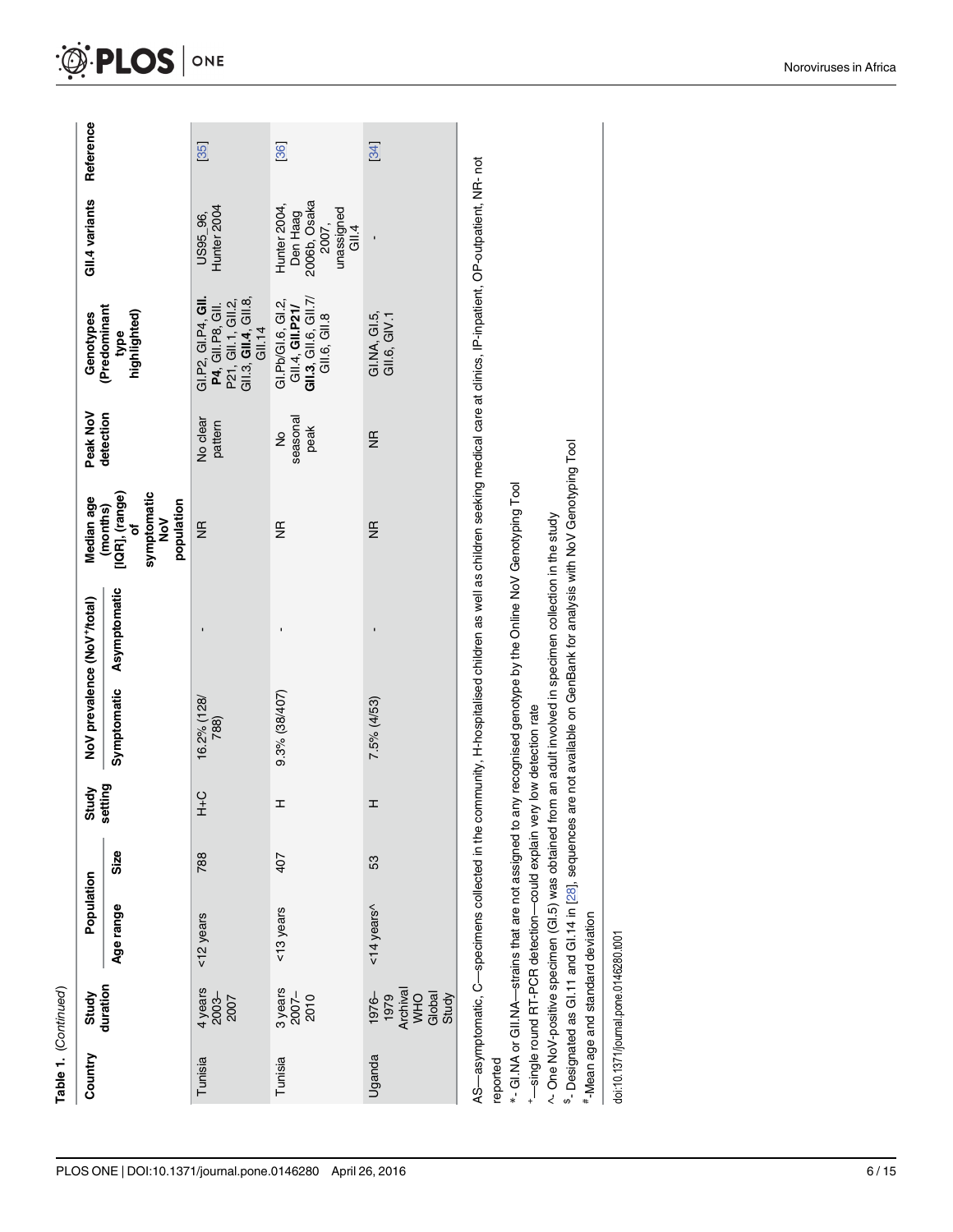| PLOS ONE   DOI:10.1371/journal.pone.0146280 April 26, 2016 |  |  | 6/15 |
|------------------------------------------------------------|--|--|------|
|------------------------------------------------------------|--|--|------|

<span id="page-5-0"></span>

| Country  | Study<br>duration                                   | Population                                                           |      | Study         |                     | NoV prevalence (NoV <sup>+</sup> /total)                                                                      | Median age                                                                               | Peak NoV              | Genotypes                                                                                                                                                                  | GII.4 variants                                                           | Reference |
|----------|-----------------------------------------------------|----------------------------------------------------------------------|------|---------------|---------------------|---------------------------------------------------------------------------------------------------------------|------------------------------------------------------------------------------------------|-----------------------|----------------------------------------------------------------------------------------------------------------------------------------------------------------------------|--------------------------------------------------------------------------|-----------|
|          |                                                     | Age range                                                            | Size | setting       | Symptomatic         | Asymptomatic                                                                                                  | [IQR], (range)<br>symptomatic<br>population<br>(months)<br>$\geq$<br>$\overline{\sigma}$ | detection             | (Predominant<br>highlighted)<br>type                                                                                                                                       |                                                                          |           |
| Tunisia  | $4 \, \text{years}$<br>$2003 -$<br>$2007$           | <12 years                                                            | 788  | $\frac{C}{T}$ | 16.2% (128/<br>788) |                                                                                                               | $\frac{\alpha}{2}$                                                                       | No clear<br>pattern   | GI.P2, GI.P4, GII.<br><b>P4</b> , GII.P8, GII.<br>P21, GII.1, GII.2,<br>GII.3, <b>GII.4</b> , GII.8,<br><b>GII.14</b>                                                      | Hunter 2004<br>US95_96,                                                  | 35        |
| Tunisia  | $3$ years<br>$2007-$<br>2010                        | <13 years                                                            | 407  | I             | 9.3% (38/407)       |                                                                                                               | $\frac{\alpha}{2}$                                                                       | seasonal<br>peak<br>ş | GIL3, GIL6, GIL7/<br>GI.Pb/GI.6, GI.2,<br>GII.4, <b>GII.P21/</b><br>GII.6, GII.8                                                                                           | 2006b, Osaka<br>Hunter 2004,<br>unassigned<br>Gll.4<br>Den Haag<br>2007, | 36        |
| Uganda   | 1979<br>Archival<br>WHO<br>Global<br>Study<br>1976- | $14$ years <sup><math>\land</math></sup>                             | 53   | I             | 7.5% (4/53)         |                                                                                                               | $\frac{\alpha}{2}$                                                                       | $\frac{\alpha}{2}$    | $GLMA$ , $GL.5$ ,<br>GIII.6, GIV.1                                                                                                                                         |                                                                          | 34        |
| reported |                                                     | -single round RT-PCR detection-could explain very low detection rate |      |               |                     | *- GI.NA or GII.NA—strains that are not assigned to any recognised genotype by the Online NoV Genotyping Tool |                                                                                          |                       | AS-asymptomatic, C-specimens collected in the community, H-hospitalised children as well as children seeking medical care at clinics, IP-inpatient, OP-outpatient, NR- not |                                                                          |           |

^- One NoV-positive specimen (GI.5) was obtained from an adult involved in specimen collection in the study

<sup>8</sup>- Designated as Gi.11 and Gi.14 in [28], sequences are not available on GenBank for analysis with NoV Genotyping Tool \$- Designated as GI.11 and GI.14 in [\[28](#page-13-0)], sequences are not available on GenBank for analysis with NoV Genotyping Tool ^- One NoV-positive specimen (GI.5) was obtained from an adult involved in specimen collection in the study

#-Mean age and standard deviation #-Mean age and standard deviation

doi:10.1371/journal.pone.0146280.t001 doi:10.1371/journal.pone.0146280.t001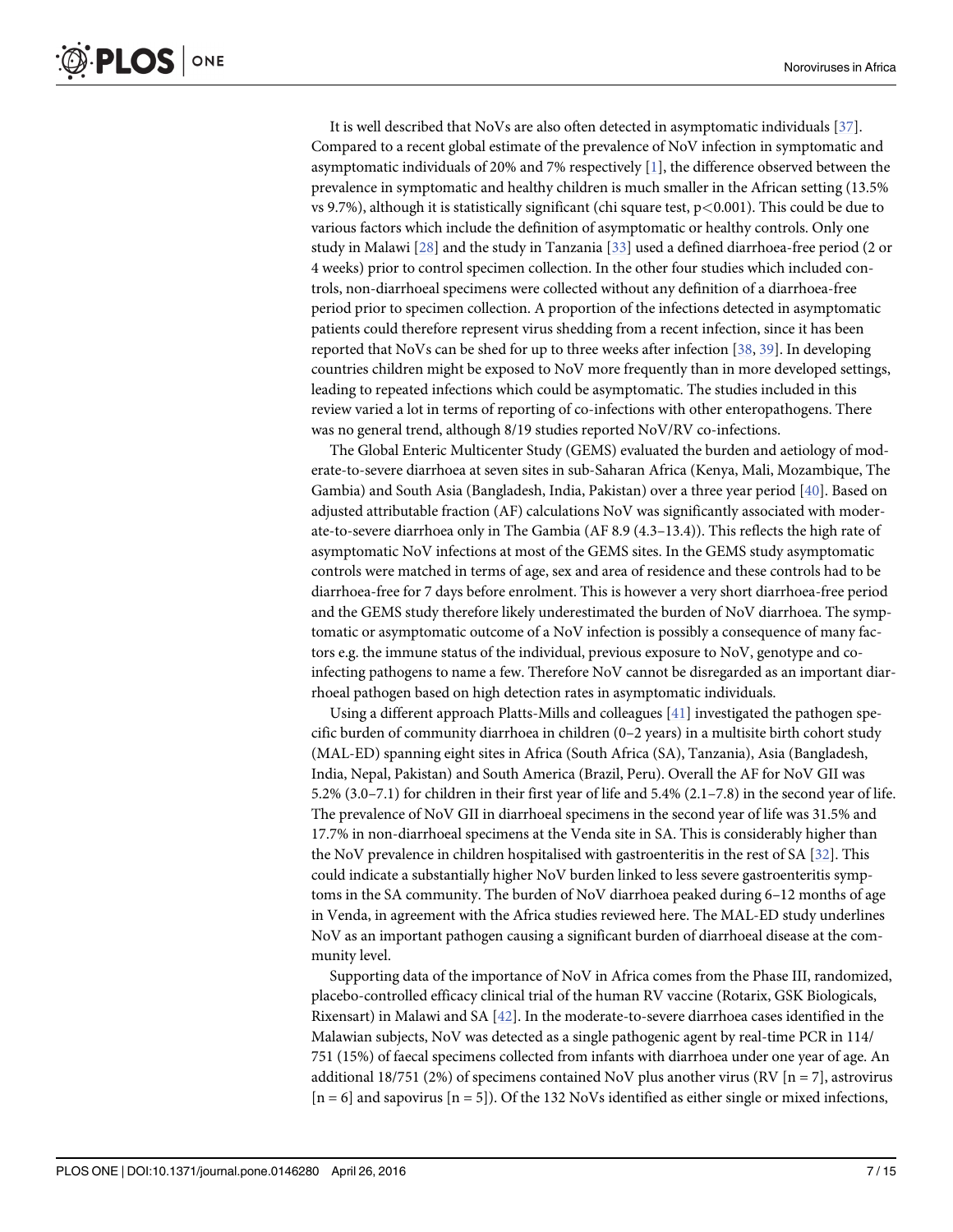<span id="page-6-0"></span>It is well described that NoVs are also often detected in asymptomatic individuals [\[37\]](#page-13-0). Compared to a recent global estimate of the prevalence of NoV infection in symptomatic and asymptomatic individuals of 20% and 7% respectively  $[1]$  $[1]$ , the difference observed between the prevalence in symptomatic and healthy children is much smaller in the African setting (13.5% vs 9.7%), although it is statistically significant (chi square test,  $p < 0.001$ ). This could be due to various factors which include the definition of asymptomatic or healthy controls. Only one study in Malawi [\[28\]](#page-13-0) and the study in Tanzania [\[33\]](#page-13-0) used a defined diarrhoea-free period (2 or 4 weeks) prior to control specimen collection. In the other four studies which included controls, non-diarrhoeal specimens were collected without any definition of a diarrhoea-free period prior to specimen collection. A proportion of the infections detected in asymptomatic patients could therefore represent virus shedding from a recent infection, since it has been reported that NoVs can be shed for up to three weeks after infection [[38,](#page-13-0) [39\]](#page-13-0). In developing countries children might be exposed to NoV more frequently than in more developed settings, leading to repeated infections which could be asymptomatic. The studies included in this review varied a lot in terms of reporting of co-infections with other enteropathogens. There was no general trend, although 8/19 studies reported NoV/RV co-infections.

The Global Enteric Multicenter Study (GEMS) evaluated the burden and aetiology of moderate-to-severe diarrhoea at seven sites in sub-Saharan Africa (Kenya, Mali, Mozambique, The Gambia) and South Asia (Bangladesh, India, Pakistan) over a three year period [\[40\]](#page-13-0). Based on adjusted attributable fraction (AF) calculations NoV was significantly associated with moderate-to-severe diarrhoea only in The Gambia (AF 8.9 (4.3–13.4)). This reflects the high rate of asymptomatic NoV infections at most of the GEMS sites. In the GEMS study asymptomatic controls were matched in terms of age, sex and area of residence and these controls had to be diarrhoea-free for 7 days before enrolment. This is however a very short diarrhoea-free period and the GEMS study therefore likely underestimated the burden of NoV diarrhoea. The symptomatic or asymptomatic outcome of a NoV infection is possibly a consequence of many factors e.g. the immune status of the individual, previous exposure to NoV, genotype and coinfecting pathogens to name a few. Therefore NoV cannot be disregarded as an important diarrhoeal pathogen based on high detection rates in asymptomatic individuals.

Using a different approach Platts-Mills and colleagues [\[41](#page-13-0)] investigated the pathogen specific burden of community diarrhoea in children (0–2 years) in a multisite birth cohort study (MAL-ED) spanning eight sites in Africa (South Africa (SA), Tanzania), Asia (Bangladesh, India, Nepal, Pakistan) and South America (Brazil, Peru). Overall the AF for NoV GII was 5.2% (3.0–7.1) for children in their first year of life and 5.4% (2.1–7.8) in the second year of life. The prevalence of NoV GII in diarrhoeal specimens in the second year of life was 31.5% and 17.7% in non-diarrhoeal specimens at the Venda site in SA. This is considerably higher than the NoV prevalence in children hospitalised with gastroenteritis in the rest of SA [[32](#page-13-0)]. This could indicate a substantially higher NoV burden linked to less severe gastroenteritis symptoms in the SA community. The burden of NoV diarrhoea peaked during 6–12 months of age in Venda, in agreement with the Africa studies reviewed here. The MAL-ED study underlines NoV as an important pathogen causing a significant burden of diarrhoeal disease at the community level.

Supporting data of the importance of NoV in Africa comes from the Phase III, randomized, placebo-controlled efficacy clinical trial of the human RV vaccine (Rotarix, GSK Biologicals, Rixensart) in Malawi and SA [[42](#page-14-0)]. In the moderate-to-severe diarrhoea cases identified in the Malawian subjects, NoV was detected as a single pathogenic agent by real-time PCR in 114/ 751 (15%) of faecal specimens collected from infants with diarrhoea under one year of age. An additional 18/751 (2%) of specimens contained NoV plus another virus (RV [n = 7], astrovirus  $[n = 6]$  and sapovirus  $[n = 5]$ . Of the 132 NoVs identified as either single or mixed infections,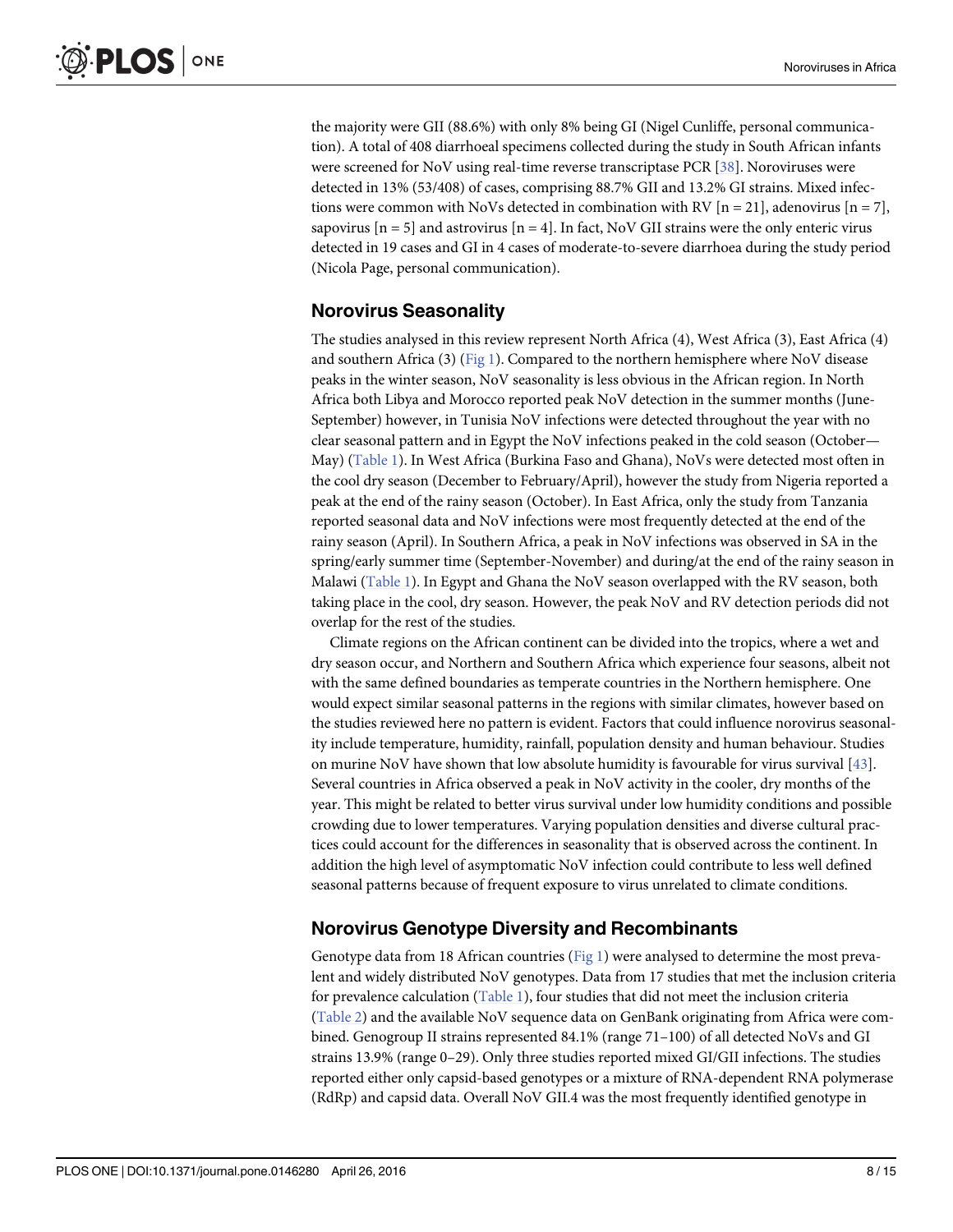<span id="page-7-0"></span>the majority were GII (88.6%) with only 8% being GI (Nigel Cunliffe, personal communication). A total of 408 diarrhoeal specimens collected during the study in South African infants were screened for NoV using real-time reverse transcriptase PCR [[38](#page-13-0)]. Noroviruses were detected in 13% (53/408) of cases, comprising 88.7% GII and 13.2% GI strains. Mixed infections were common with NoVs detected in combination with RV  $[n = 21]$ , adenovirus  $[n = 7]$ , sapovirus  $[n = 5]$  and astrovirus  $[n = 4]$ . In fact, NoV GII strains were the only enteric virus detected in 19 cases and GI in 4 cases of moderate-to-severe diarrhoea during the study period (Nicola Page, personal communication).

### Norovirus Seasonality

The studies analysed in this review represent North Africa (4), West Africa (3), East Africa (4) and southern Africa (3) ( $Fig 1$ ). Compared to the northern hemisphere where NoV disease peaks in the winter season, NoV seasonality is less obvious in the African region. In North Africa both Libya and Morocco reported peak NoV detection in the summer months (June-September) however, in Tunisia NoV infections were detected throughout the year with no clear seasonal pattern and in Egypt the NoV infections peaked in the cold season (October— May) ([Table 1](#page-3-0)). In West Africa (Burkina Faso and Ghana), NoVs were detected most often in the cool dry season (December to February/April), however the study from Nigeria reported a peak at the end of the rainy season (October). In East Africa, only the study from Tanzania reported seasonal data and NoV infections were most frequently detected at the end of the rainy season (April). In Southern Africa, a peak in NoV infections was observed in SA in the spring/early summer time (September-November) and during/at the end of the rainy season in Malawi [\(Table 1](#page-3-0)). In Egypt and Ghana the NoV season overlapped with the RV season, both taking place in the cool, dry season. However, the peak NoV and RV detection periods did not overlap for the rest of the studies.

Climate regions on the African continent can be divided into the tropics, where a wet and dry season occur, and Northern and Southern Africa which experience four seasons, albeit not with the same defined boundaries as temperate countries in the Northern hemisphere. One would expect similar seasonal patterns in the regions with similar climates, however based on the studies reviewed here no pattern is evident. Factors that could influence norovirus seasonality include temperature, humidity, rainfall, population density and human behaviour. Studies on murine NoV have shown that low absolute humidity is favourable for virus survival [\[43\]](#page-14-0). Several countries in Africa observed a peak in NoV activity in the cooler, dry months of the year. This might be related to better virus survival under low humidity conditions and possible crowding due to lower temperatures. Varying population densities and diverse cultural practices could account for the differences in seasonality that is observed across the continent. In addition the high level of asymptomatic NoV infection could contribute to less well defined seasonal patterns because of frequent exposure to virus unrelated to climate conditions.

### Norovirus Genotype Diversity and Recombinants

Genotype data from 18 African countries ([Fig 1\)](#page-2-0) were analysed to determine the most prevalent and widely distributed NoV genotypes. Data from 17 studies that met the inclusion criteria for prevalence calculation [\(Table 1\)](#page-3-0), four studies that did not meet the inclusion criteria [\(Table 2\)](#page-8-0) and the available NoV sequence data on GenBank originating from Africa were combined. Genogroup II strains represented 84.1% (range 71–100) of all detected NoVs and GI strains 13.9% (range 0–29). Only three studies reported mixed GI/GII infections. The studies reported either only capsid-based genotypes or a mixture of RNA-dependent RNA polymerase (RdRp) and capsid data. Overall NoV GII.4 was the most frequently identified genotype in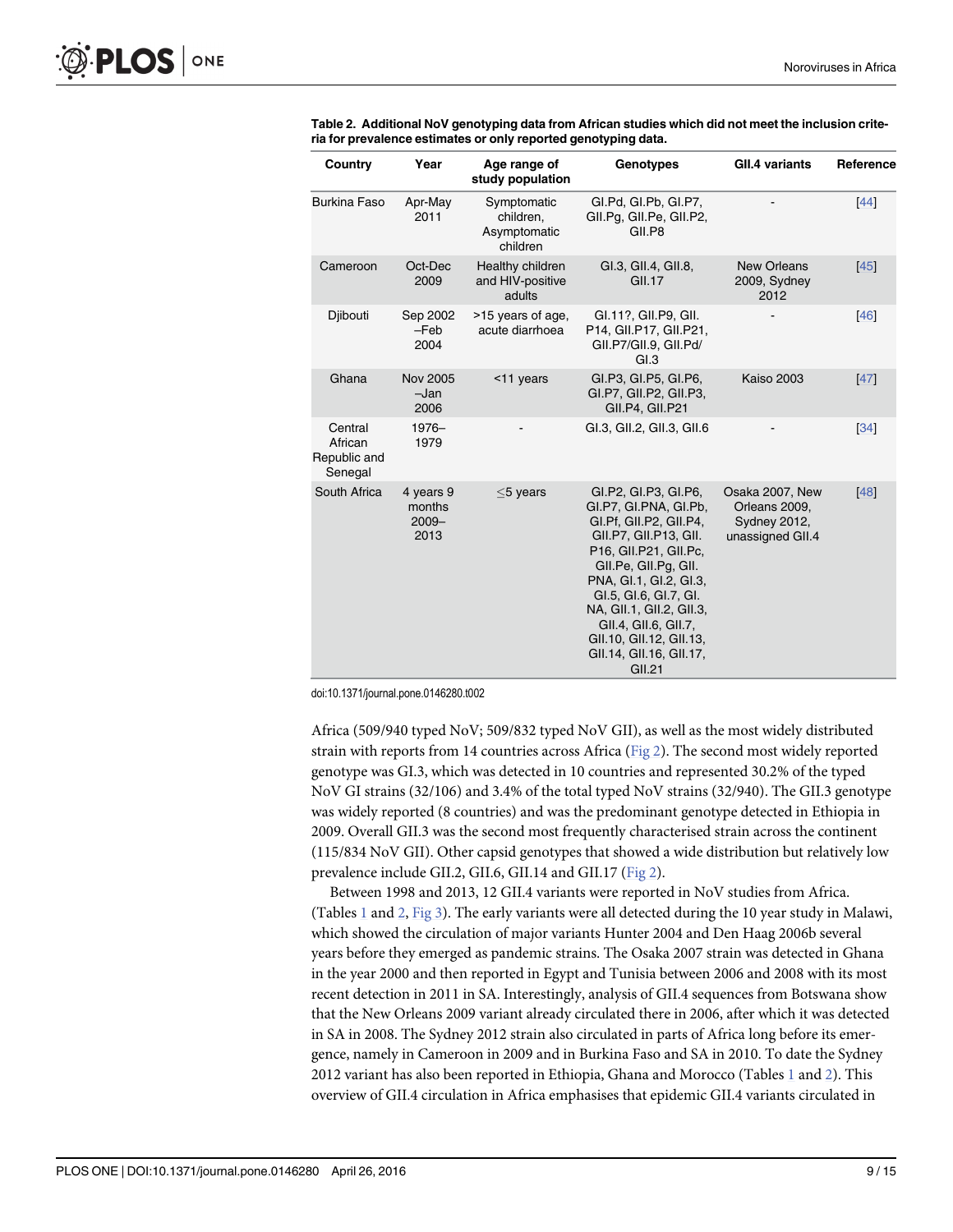| Country                                       | Year                                    | Age range of<br>study population                     | Genotypes                                                                                                                                                                                                                                                                                                                       | <b>GII.4 variants</b>                                                       | Reference |
|-----------------------------------------------|-----------------------------------------|------------------------------------------------------|---------------------------------------------------------------------------------------------------------------------------------------------------------------------------------------------------------------------------------------------------------------------------------------------------------------------------------|-----------------------------------------------------------------------------|-----------|
| <b>Burkina Faso</b>                           | Apr-May<br>2011                         | Symptomatic<br>children,<br>Asymptomatic<br>children | GI.Pd, GI.Pb, GI.P7,<br>GII.Pg, GII.Pe, GII.P2,<br>GII.P8                                                                                                                                                                                                                                                                       |                                                                             | 44        |
| Cameroon                                      | Oct-Dec<br>2009                         | Healthy children<br>and HIV-positive<br>adults       | GI.3, GII.4, GII.8,<br><b>GII.17</b>                                                                                                                                                                                                                                                                                            | <b>New Orleans</b><br>2009, Sydney<br>2012                                  | $[45]$    |
| Djibouti                                      | Sep 2002<br>$-Feb$<br>2004              | >15 years of age,<br>acute diarrhoea                 | GI.11?, GII.P9, GII.<br>P14, GII.P17, GII.P21,<br>GII.P7/GII.9, GII.Pd/<br>GI.3                                                                                                                                                                                                                                                 |                                                                             | [46]      |
| Ghana                                         | <b>Nov 2005</b><br>$-Jan$<br>2006       | <11 years                                            | GI.P3, GI.P5, GI.P6,<br>GI.P7, GII.P2, GII.P3,<br>GII.P4, GII.P21                                                                                                                                                                                                                                                               | <b>Kaiso 2003</b>                                                           | [47]      |
| Central<br>African<br>Republic and<br>Senegal | $1976 -$<br>1979                        |                                                      | GI.3, GII.2, GII.3, GII.6                                                                                                                                                                                                                                                                                                       |                                                                             | 34        |
| South Africa                                  | 4 years 9<br>months<br>$2009 -$<br>2013 | $<$ 5 years                                          | GI.P2, GI.P3, GI.P6,<br>GI.P7, GI.PNA, GI.Pb,<br>GI.Pf, GII.P2, GII.P4,<br>GII.P7, GII.P13, GII.<br>P16, GII.P21, GII.Pc,<br>GII.Pe, GII.Pg, GII.<br>PNA, GI.1, GI.2, GI.3,<br>GI.5, GI.6, GI.7, GI.<br>NA, GII.1, GII.2, GII.3,<br>GII.4, GII.6, GII.7,<br>GII.10, GII.12, GII.13,<br>GII.14, GII.16, GII.17,<br><b>GII.21</b> | Osaka 2007, New<br>Orleans 2009,<br><b>Sydney 2012,</b><br>unassigned GII.4 | [48]      |

<span id="page-8-0"></span>[Table 2.](#page-7-0) Additional NoV genotyping data from African studies which did not meet the inclusion criteria for prevalence estimates or only reported genotyping data.

doi:10.1371/journal.pone.0146280.t002

Africa (509/940 typed NoV; 509/832 typed NoV GII), as well as the most widely distributed strain with reports from 14 countries across Africa [\(Fig 2\)](#page-9-0). The second most widely reported genotype was GI.3, which was detected in 10 countries and represented 30.2% of the typed NoV GI strains (32/106) and 3.4% of the total typed NoV strains (32/940). The GII.3 genotype was widely reported (8 countries) and was the predominant genotype detected in Ethiopia in 2009. Overall GII.3 was the second most frequently characterised strain across the continent (115/834 NoV GII). Other capsid genotypes that showed a wide distribution but relatively low prevalence include GII.2, GII.6, GII.14 and GII.17 ([Fig 2\)](#page-9-0).

Between 1998 and 2013, 12 GII.4 variants were reported in NoV studies from Africa. (Tables  $\perp$  and  $2$ , Fig  $3$ ). The early variants were all detected during the [1](#page-3-0)0 year study in Malawi, which showed the circulation of major variants Hunter 2004 and Den Haag 2006b several years before they emerged as pandemic strains. The Osaka 2007 strain was detected in Ghana in the year 2000 and then reported in Egypt and Tunisia between 2006 and 2008 with its most recent detection in 2011 in SA. Interestingly, analysis of GII.4 sequences from Botswana show that the New Orleans 2009 variant already circulated there in 2006, after which it was detected in SA in 2008. The Sydney 2012 strain also circulated in parts of Africa long before its emergence, namely in Cameroon in 2009 and in Burkina Faso and SA in 2010. To date the Sydney 20[1](#page-3-0)2 variant has also been reported in Ethiopia, Ghana and Morocco (Tables  $1$  and  $2$ ). This overview of GII.4 circulation in Africa emphasises that epidemic GII.4 variants circulated in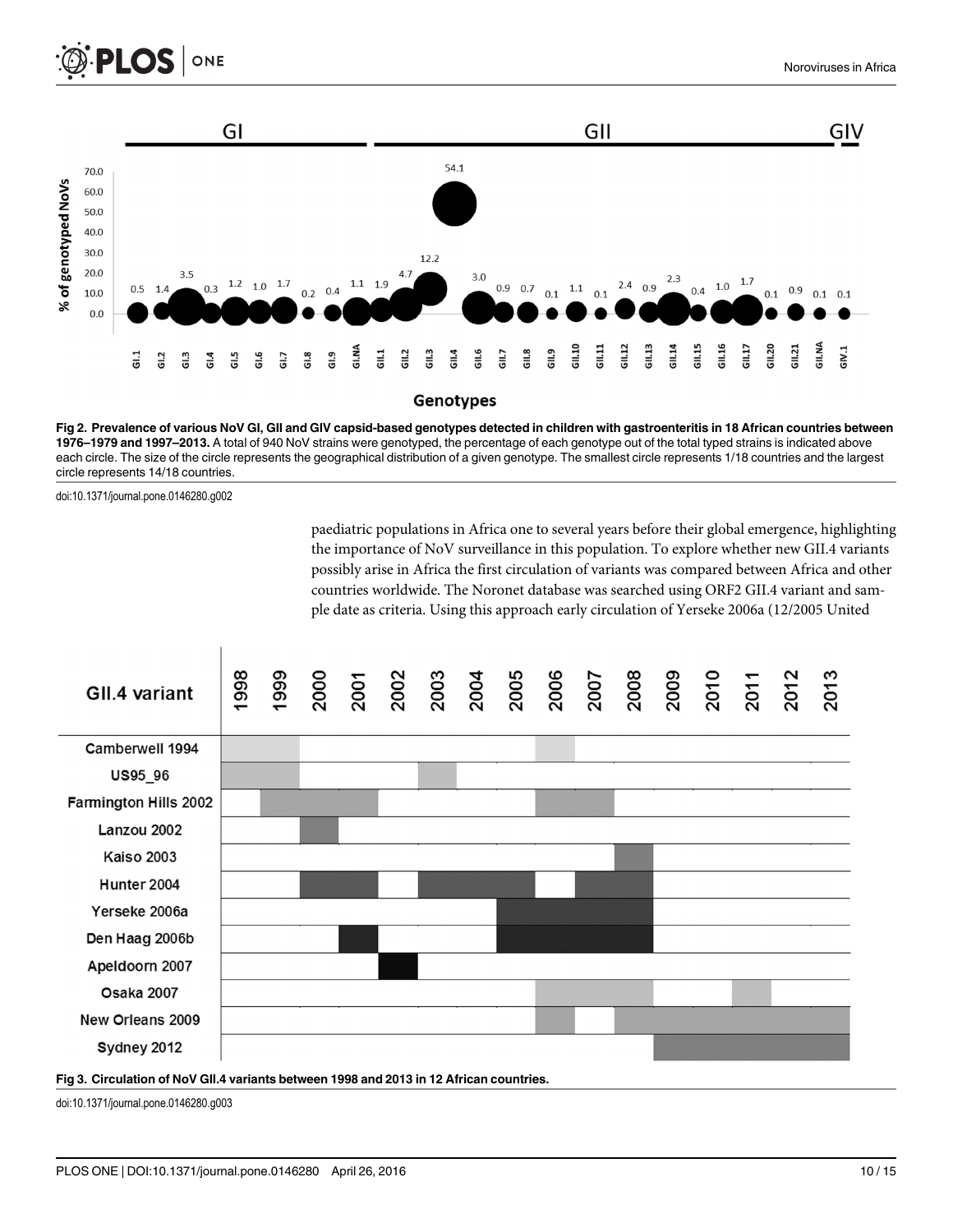<span id="page-9-0"></span>

[Fig 2. P](#page-8-0)revalence of various NoV GI, GII and GIV capsid-based genotypes detected in children with gastroenteritis in 18 African countries between 1976–1979 and 1997–2013. A total of 940 NoV strains were genotyped, the percentage of each genotype out of the total typed strains is indicated above each circle. The size of the circle represents the geographical distribution of a given genotype. The smallest circle represents 1/18 countries and the largest circle represents 14/18 countries.

doi:10.1371/journal.pone.0146280.g002

paediatric populations in Africa one to several years before their global emergence, highlighting the importance of NoV surveillance in this population. To explore whether new GII.4 variants possibly arise in Africa the first circulation of variants was compared between Africa and other countries worldwide. The Noronet database was searched using ORF2 GII.4 variant and sample date as criteria. Using this approach early circulation of Yerseke 2006a (12/2005 United



#### [Fig 3. C](#page-8-0)irculation of NoV GII.4 variants between 1998 and 2013 in 12 African countries.

doi:10.1371/journal.pone.0146280.g003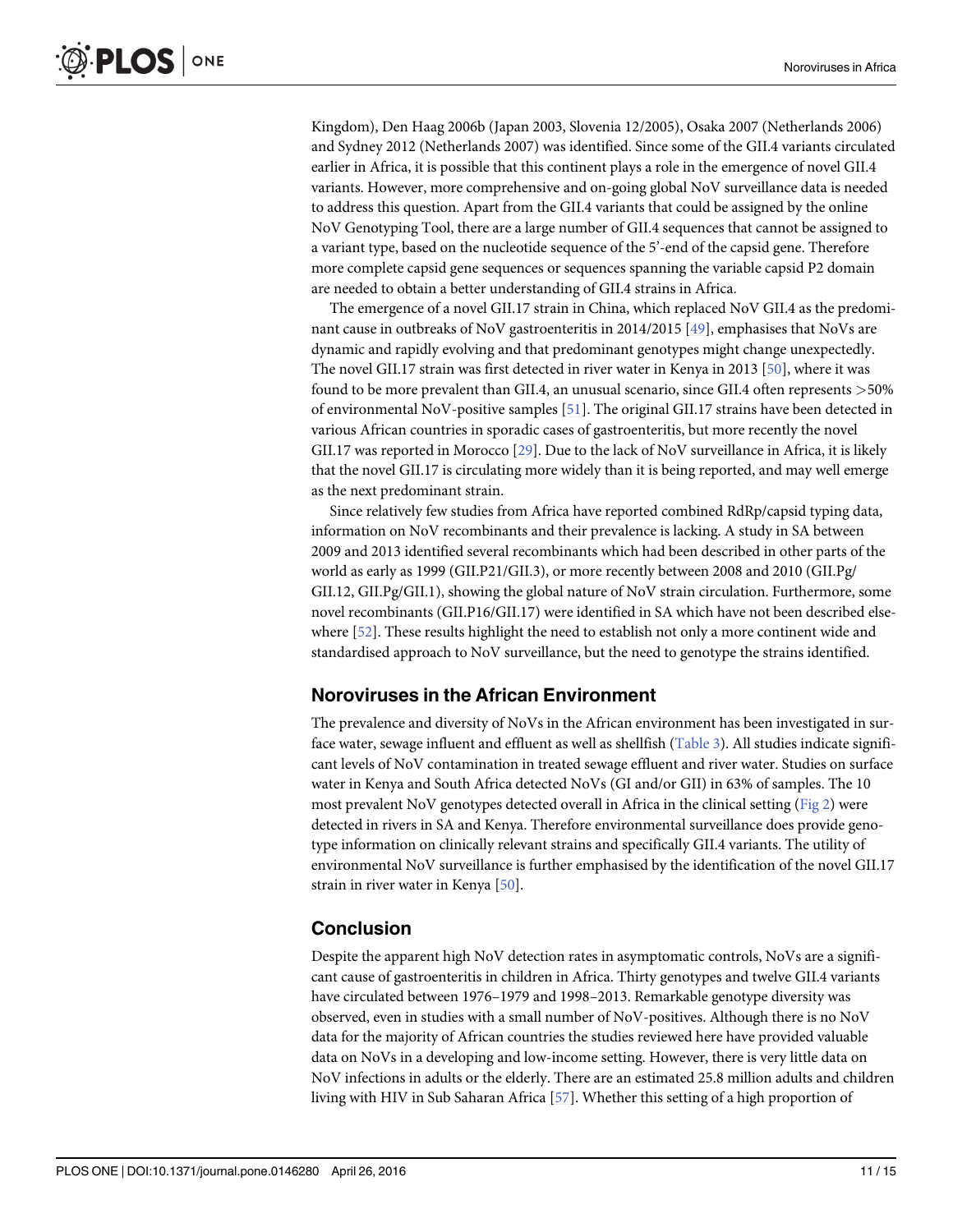<span id="page-10-0"></span>Kingdom), Den Haag 2006b (Japan 2003, Slovenia 12/2005), Osaka 2007 (Netherlands 2006) and Sydney 2012 (Netherlands 2007) was identified. Since some of the GII.4 variants circulated earlier in Africa, it is possible that this continent plays a role in the emergence of novel GII.4 variants. However, more comprehensive and on-going global NoV surveillance data is needed to address this question. Apart from the GII.4 variants that could be assigned by the online NoV Genotyping Tool, there are a large number of GII.4 sequences that cannot be assigned to a variant type, based on the nucleotide sequence of the 5'-end of the capsid gene. Therefore more complete capsid gene sequences or sequences spanning the variable capsid P2 domain are needed to obtain a better understanding of GII.4 strains in Africa.

The emergence of a novel GII.17 strain in China, which replaced NoV GII.4 as the predominant cause in outbreaks of NoV gastroenteritis in 2014/2015 [[49](#page-14-0)], emphasises that NoVs are dynamic and rapidly evolving and that predominant genotypes might change unexpectedly. The novel GII.17 strain was first detected in river water in Kenya in 2013 [[50](#page-14-0)], where it was found to be more prevalent than GII.4, an unusual scenario, since GII.4 often represents >50% of environmental NoV-positive samples [\[51\]](#page-14-0). The original GII.17 strains have been detected in various African countries in sporadic cases of gastroenteritis, but more recently the novel GII.17 was reported in Morocco [[29](#page-13-0)]. Due to the lack of NoV surveillance in Africa, it is likely that the novel GII.17 is circulating more widely than it is being reported, and may well emerge as the next predominant strain.

Since relatively few studies from Africa have reported combined RdRp/capsid typing data, information on NoV recombinants and their prevalence is lacking. A study in SA between 2009 and 2013 identified several recombinants which had been described in other parts of the world as early as 1999 (GII.P21/GII.3), or more recently between 2008 and 2010 (GII.Pg/ GII.12, GII.Pg/GII.1), showing the global nature of NoV strain circulation. Furthermore, some novel recombinants (GII.P16/GII.17) were identified in SA which have not been described elsewhere [[52](#page-14-0)]. These results highlight the need to establish not only a more continent wide and standardised approach to NoV surveillance, but the need to genotype the strains identified.

#### Noroviruses in the African Environment

The prevalence and diversity of NoVs in the African environment has been investigated in surface water, sewage influent and effluent as well as shellfish ([Table 3\)](#page-11-0). All studies indicate significant levels of NoV contamination in treated sewage effluent and river water. Studies on surface water in Kenya and South Africa detected NoVs (GI and/or GII) in 63% of samples. The 10 most prevalent NoV genotypes detected overall in Africa in the clinical setting ([Fig 2](#page-9-0)) were detected in rivers in SA and Kenya. Therefore environmental surveillance does provide genotype information on clinically relevant strains and specifically GII.4 variants. The utility of environmental NoV surveillance is further emphasised by the identification of the novel GII.17 strain in river water in Kenya [\[50\]](#page-14-0).

#### Conclusion

Despite the apparent high NoV detection rates in asymptomatic controls, NoVs are a significant cause of gastroenteritis in children in Africa. Thirty genotypes and twelve GII.4 variants have circulated between 1976–1979 and 1998–2013. Remarkable genotype diversity was observed, even in studies with a small number of NoV-positives. Although there is no NoV data for the majority of African countries the studies reviewed here have provided valuable data on NoVs in a developing and low-income setting. However, there is very little data on NoV infections in adults or the elderly. There are an estimated 25.8 million adults and children living with HIV in Sub Saharan Africa [[57](#page-14-0)]. Whether this setting of a high proportion of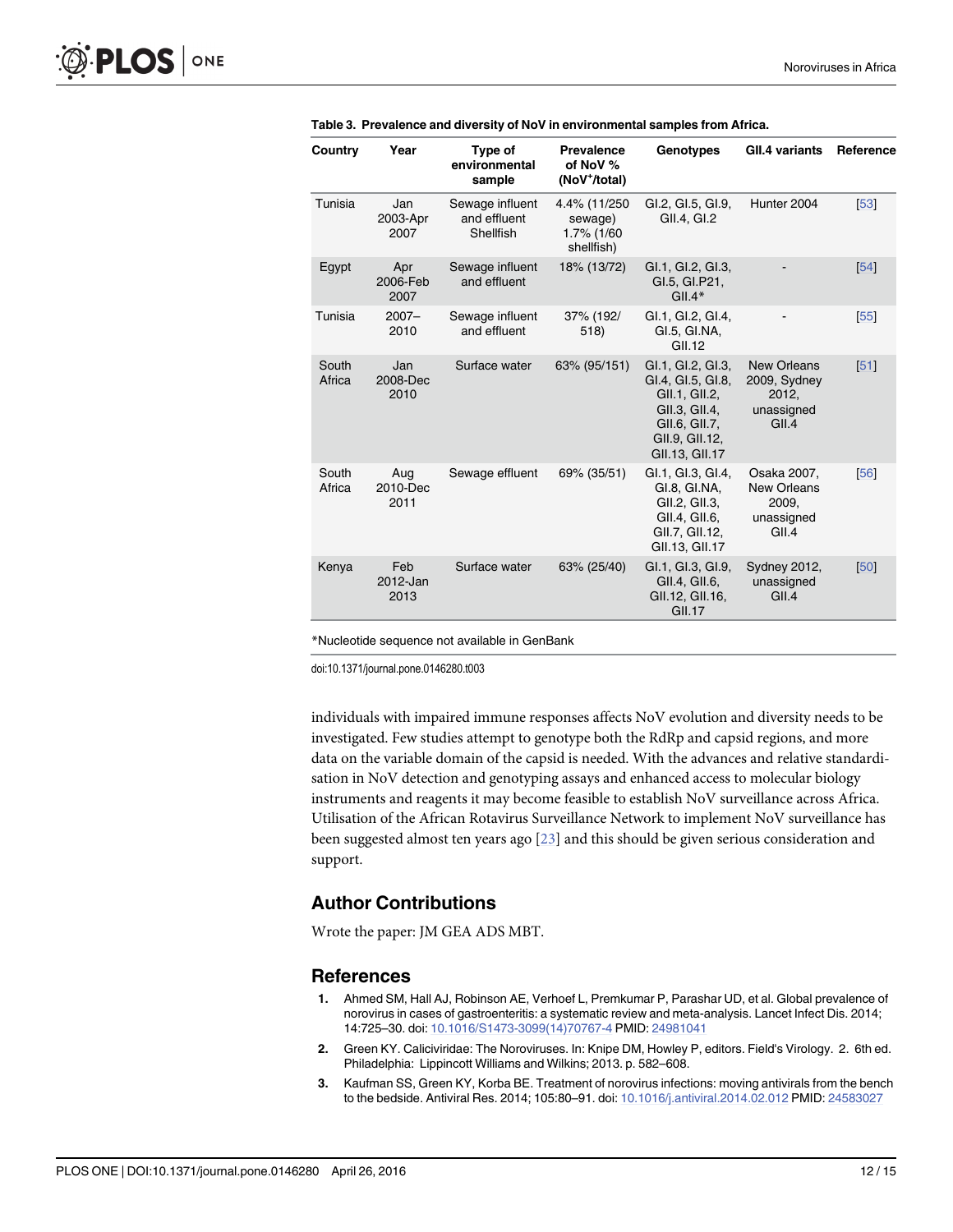| Country         | Year                    | Type of<br>environmental<br>sample           | <b>Prevalence</b><br>of NoV %<br>(NoV <sup>+</sup> /total) | <b>Genotypes</b>                                                                                                              | <b>GII.4 variants</b>                                              | Reference |
|-----------------|-------------------------|----------------------------------------------|------------------------------------------------------------|-------------------------------------------------------------------------------------------------------------------------------|--------------------------------------------------------------------|-----------|
| Tunisia         | Jan<br>2003-Apr<br>2007 | Sewage influent<br>and effluent<br>Shellfish | 4.4% (11/250<br>sewage)<br>1.7% (1/60<br>shellfish)        | GI.2, GI.5, GI.9,<br>GII.4, GI.2                                                                                              | Hunter 2004                                                        | [53]      |
| Egypt           | Apr<br>2006-Feb<br>2007 | Sewage influent<br>and effluent              | 18% (13/72)                                                | GI.1, GI.2, GI.3,<br>GI.5, GI.P21,<br>$GIL4*$                                                                                 |                                                                    | [54]      |
| Tunisia         | $2007 -$<br>2010        | Sewage influent<br>and effluent              | 37% (192/<br>518)                                          | GI.1, GI.2, GI.4,<br>GI.5, GI.NA,<br>GII.12                                                                                   |                                                                    | 55        |
| South<br>Africa | Jan<br>2008-Dec<br>2010 | Surface water                                | 63% (95/151)                                               | GI.1, GI.2, GI.3,<br>GI.4, GI.5, GI.8,<br>GII.1, GII.2,<br>GII.3, GII.4,<br>GII.6, GII.7,<br>GII.9, GII.12,<br>GII.13, GII.17 | <b>New Orleans</b><br>2009, Sydney<br>2012,<br>unassigned<br>GII.4 | 51        |
| South<br>Africa | Aug<br>2010-Dec<br>2011 | Sewage effluent                              | 69% (35/51)                                                | GI.1, GI.3, GI.4,<br>GI.8, GI.NA,<br>GII.2. GII.3.<br>GII.4, GII.6,<br>GII.7, GII.12,<br>GII.13, GII.17                       | Osaka 2007,<br>New Orleans<br>2009.<br>unassigned<br>GII.4         | [56]      |
| Kenya           | Feb<br>2012-Jan<br>2013 | Surface water                                | 63% (25/40)                                                | GI.1, GI.3, GI.9,<br>GII.4, GII.6,<br>GII.12, GII.16,<br>GII.17                                                               | <b>Sydney 2012,</b><br>unassigned<br>GII.4                         | [50]      |

<span id="page-11-0"></span>

| Table 3. Prevalence and diversity of NoV in environmental samples from Africa. |  |  |
|--------------------------------------------------------------------------------|--|--|
|--------------------------------------------------------------------------------|--|--|

\*Nucleotide sequence not available in GenBank

doi:10.1371/journal.pone.0146280.t003

individuals with impaired immune responses affects NoV evolution and diversity needs to be investigated. Few studies attempt to genotype both the RdRp and capsid regions, and more data on the variable domain of the capsid is needed. With the advances and relative standardisation in NoV detection and genotyping assays and enhanced access to molecular biology instruments and reagents it may become feasible to establish NoV surveillance across Africa. Utilisation of the African Rotavirus Surveillance Network to implement NoV surveillance has been suggested almost ten years ago [\[23\]](#page-12-0) and this should be given serious consideration and support.

#### Author Contributions

Wrote the paper: JM GEA ADS MBT.

#### References

- [1.](#page-0-0) Ahmed SM, Hall AJ, Robinson AE, Verhoef L, Premkumar P, Parashar UD, et al. Global prevalence of norovirus in cases of gastroenteritis: a systematic review and meta-analysis. Lancet Infect Dis. 2014; 14:725–30. doi: [10.1016/S1473-3099\(14\)70767-4](http://dx.doi.org/10.1016/S1473-3099(14)70767-4) PMID: [24981041](http://www.ncbi.nlm.nih.gov/pubmed/24981041)
- [2.](#page-0-0) Green KY. Caliciviridae: The Noroviruses. In: Knipe DM, Howley P, editors. Field's Virology. 2. 6th ed. Philadelphia: Lippincott Williams and Wilkins; 2013. p. 582–608.
- [3.](#page-0-0) Kaufman SS, Green KY, Korba BE. Treatment of norovirus infections: moving antivirals from the bench to the bedside. Antiviral Res. 2014; 105:80–91. doi: [10.1016/j.antiviral.2014.02.012](http://dx.doi.org/10.1016/j.antiviral.2014.02.012) PMID: [24583027](http://www.ncbi.nlm.nih.gov/pubmed/24583027)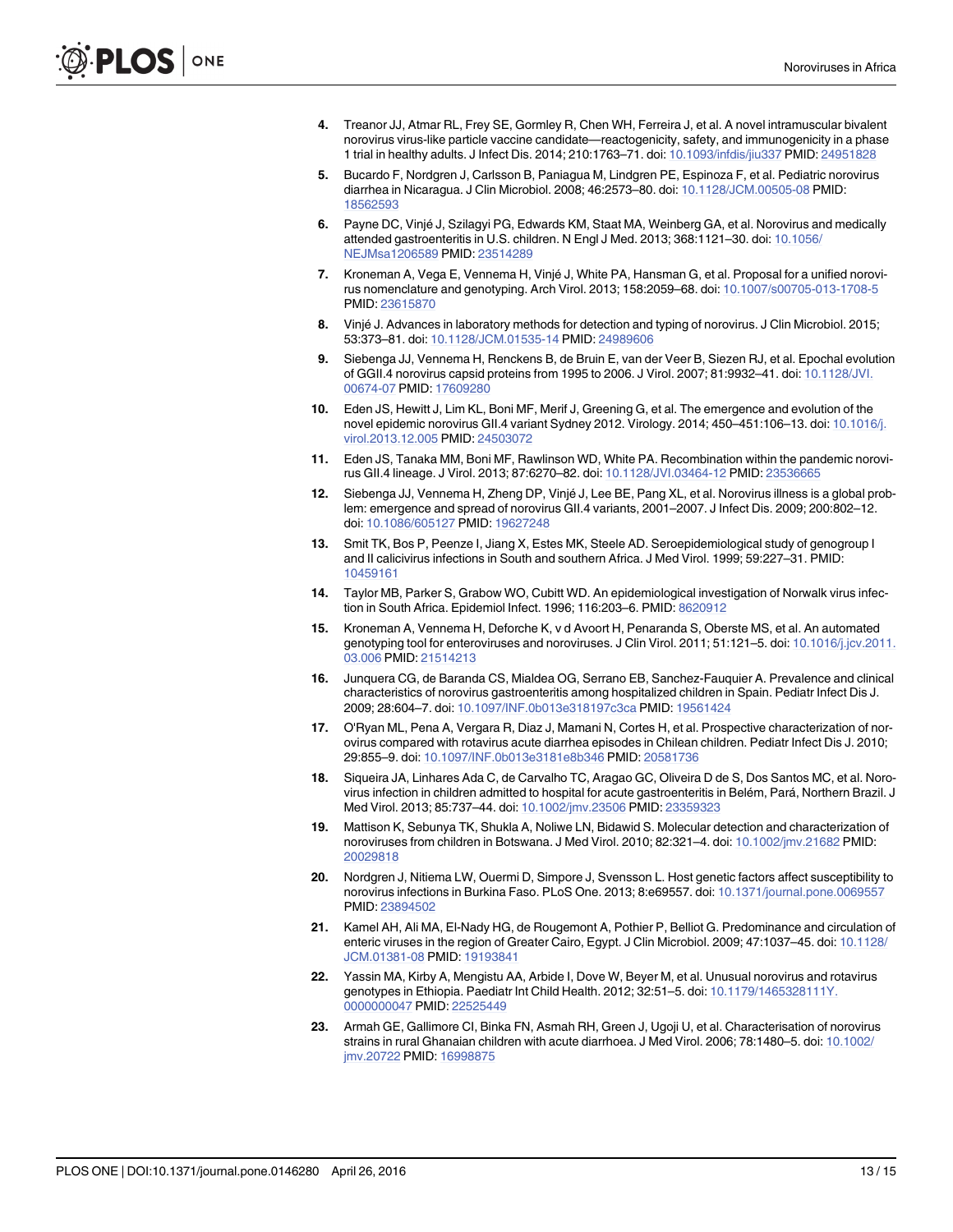- <span id="page-12-0"></span>[4.](#page-0-0) Treanor JJ, Atmar RL, Frey SE, Gormley R, Chen WH, Ferreira J, et al. A novel intramuscular bivalent norovirus virus-like particle vaccine candidate—reactogenicity, safety, and immunogenicity in a phase 1 trial in healthy adults. J Infect Dis. 2014; 210:1763–71. doi: [10.1093/infdis/jiu337](http://dx.doi.org/10.1093/infdis/jiu337) PMID: [24951828](http://www.ncbi.nlm.nih.gov/pubmed/24951828)
- [5.](#page-0-0) Bucardo F, Nordgren J, Carlsson B, Paniagua M, Lindgren PE, Espinoza F, et al. Pediatric norovirus diarrhea in Nicaragua. J Clin Microbiol. 2008; 46:2573–80. doi: [10.1128/JCM.00505-08](http://dx.doi.org/10.1128/JCM.00505-08) PMID: [18562593](http://www.ncbi.nlm.nih.gov/pubmed/18562593)
- [6.](#page-0-0) Payne DC, Vinjé J, Szilagyi PG, Edwards KM, Staat MA, Weinberg GA, et al. Norovirus and medically attended gastroenteritis in U.S. children. N Engl J Med. 2013; 368:1121–30. doi: [10.1056/](http://dx.doi.org/10.1056/NEJMsa1206589) [NEJMsa1206589](http://dx.doi.org/10.1056/NEJMsa1206589) PMID: [23514289](http://www.ncbi.nlm.nih.gov/pubmed/23514289)
- [7.](#page-1-0) Kroneman A, Vega E, Vennema H, Vinjé J, White PA, Hansman G, et al. Proposal for a unified norovirus nomenclature and genotyping. Arch Virol. 2013; 158:2059–68. doi: [10.1007/s00705-013-1708-5](http://dx.doi.org/10.1007/s00705-013-1708-5) PMID: [23615870](http://www.ncbi.nlm.nih.gov/pubmed/23615870)
- [8.](#page-1-0) Vinjé J. Advances in laboratory methods for detection and typing of norovirus. J Clin Microbiol. 2015; 53:373–81. doi: [10.1128/JCM.01535-14](http://dx.doi.org/10.1128/JCM.01535-14) PMID: [24989606](http://www.ncbi.nlm.nih.gov/pubmed/24989606)
- [9.](#page-1-0) Siebenga JJ, Vennema H, Renckens B, de Bruin E, van der Veer B, Siezen RJ, et al. Epochal evolution of GGII.4 norovirus capsid proteins from 1995 to 2006. J Virol. 2007; 81:9932–41. doi: [10.1128/JVI.](http://dx.doi.org/10.1128/JVI.00674-07) [00674-07](http://dx.doi.org/10.1128/JVI.00674-07) PMID: [17609280](http://www.ncbi.nlm.nih.gov/pubmed/17609280)
- [10.](#page-1-0) Eden JS, Hewitt J, Lim KL, Boni MF, Merif J, Greening G, et al. The emergence and evolution of the novel epidemic norovirus GII.4 variant Sydney 2012. Virology. 2014; 450–451:106–13. doi: [10.1016/j.](http://dx.doi.org/10.1016/j.virol.2013.12.005) [virol.2013.12.005](http://dx.doi.org/10.1016/j.virol.2013.12.005) PMID: [24503072](http://www.ncbi.nlm.nih.gov/pubmed/24503072)
- 11. Eden JS, Tanaka MM, Boni MF, Rawlinson WD, White PA. Recombination within the pandemic norovirus GII.4 lineage. J Virol. 2013; 87:6270–82. doi: [10.1128/JVI.03464-12](http://dx.doi.org/10.1128/JVI.03464-12) PMID: [23536665](http://www.ncbi.nlm.nih.gov/pubmed/23536665)
- [12.](#page-1-0) Siebenga JJ, Vennema H, Zheng DP, Vinjé J, Lee BE, Pang XL, et al. Norovirus illness is a global problem: emergence and spread of norovirus GII.4 variants, 2001–2007. J Infect Dis. 2009; 200:802–12. doi: [10.1086/605127](http://dx.doi.org/10.1086/605127) PMID: [19627248](http://www.ncbi.nlm.nih.gov/pubmed/19627248)
- [13.](#page-1-0) Smit TK, Bos P, Peenze I, Jiang X, Estes MK, Steele AD. Seroepidemiological study of genogroup I and II calicivirus infections in South and southern Africa. J Med Virol. 1999; 59:227–31. PMID: [10459161](http://www.ncbi.nlm.nih.gov/pubmed/10459161)
- [14.](#page-1-0) Taylor MB, Parker S, Grabow WO, Cubitt WD. An epidemiological investigation of Norwalk virus infection in South Africa. Epidemiol Infect. 1996; 116:203–6. PMID: [8620912](http://www.ncbi.nlm.nih.gov/pubmed/8620912)
- [15.](#page-1-0) Kroneman A, Vennema H, Deforche K, v d Avoort H, Penaranda S, Oberste MS, et al. An automated genotyping tool for enteroviruses and noroviruses. J Clin Virol. 2011; 51:121–5. doi: [10.1016/j.jcv.2011.](http://dx.doi.org/10.1016/j.jcv.2011.03.006) [03.006](http://dx.doi.org/10.1016/j.jcv.2011.03.006) PMID: [21514213](http://www.ncbi.nlm.nih.gov/pubmed/21514213)
- [16.](#page-2-0) Junquera CG, de Baranda CS, Mialdea OG, Serrano EB, Sanchez-Fauquier A. Prevalence and clinical characteristics of norovirus gastroenteritis among hospitalized children in Spain. Pediatr Infect Dis J. 2009; 28:604–7. doi: [10.1097/INF.0b013e318197c3ca](http://dx.doi.org/10.1097/INF.0b013e318197c3ca) PMID: [19561424](http://www.ncbi.nlm.nih.gov/pubmed/19561424)
- 17. O'Ryan ML, Pena A, Vergara R, Diaz J, Mamani N, Cortes H, et al. Prospective characterization of norovirus compared with rotavirus acute diarrhea episodes in Chilean children. Pediatr Infect Dis J. 2010; 29:855–9. doi: [10.1097/INF.0b013e3181e8b346](http://dx.doi.org/10.1097/INF.0b013e3181e8b346) PMID: [20581736](http://www.ncbi.nlm.nih.gov/pubmed/20581736)
- [18.](#page-2-0) Siqueira JA, Linhares Ada C, de Carvalho TC, Aragao GC, Oliveira D de S, Dos Santos MC, et al. Norovirus infection in children admitted to hospital for acute gastroenteritis in Belém, Pará, Northern Brazil. J Med Virol. 2013; 85:737–44. doi: [10.1002/jmv.23506](http://dx.doi.org/10.1002/jmv.23506) PMID: [23359323](http://www.ncbi.nlm.nih.gov/pubmed/23359323)
- [19.](#page-3-0) Mattison K, Sebunya TK, Shukla A, Noliwe LN, Bidawid S. Molecular detection and characterization of noroviruses from children in Botswana. J Med Virol. 2010; 82:321–4. doi: [10.1002/jmv.21682](http://dx.doi.org/10.1002/jmv.21682) PMID: [20029818](http://www.ncbi.nlm.nih.gov/pubmed/20029818)
- [20.](#page-3-0) Nordgren J, Nitiema LW, Ouermi D, Simpore J, Svensson L. Host genetic factors affect susceptibility to norovirus infections in Burkina Faso. PLoS One. 2013; 8:e69557. doi: [10.1371/journal.pone.0069557](http://dx.doi.org/10.1371/journal.pone.0069557) PMID: [23894502](http://www.ncbi.nlm.nih.gov/pubmed/23894502)
- [21.](#page-3-0) Kamel AH, Ali MA, El-Nady HG, de Rougemont A, Pothier P, Belliot G. Predominance and circulation of enteric viruses in the region of Greater Cairo, Egypt. J Clin Microbiol. 2009; 47:1037-45. doi: [10.1128/](http://dx.doi.org/10.1128/JCM.01381-08) [JCM.01381-08](http://dx.doi.org/10.1128/JCM.01381-08) PMID: [19193841](http://www.ncbi.nlm.nih.gov/pubmed/19193841)
- [22.](#page-3-0) Yassin MA, Kirby A, Mengistu AA, Arbide I, Dove W, Beyer M, et al. Unusual norovirus and rotavirus genotypes in Ethiopia. Paediatr Int Child Health. 2012; 32:51–5. doi: [10.1179/1465328111Y.](http://dx.doi.org/10.1179/1465328111Y.0000000047) [0000000047](http://dx.doi.org/10.1179/1465328111Y.0000000047) PMID: [22525449](http://www.ncbi.nlm.nih.gov/pubmed/22525449)
- [23.](#page-3-0) Armah GE, Gallimore CI, Binka FN, Asmah RH, Green J, Ugoji U, et al. Characterisation of norovirus strains in rural Ghanaian children with acute diarrhoea. J Med Virol. 2006; 78:1480–5. doi: [10.1002/](http://dx.doi.org/10.1002/jmv.20722) [jmv.20722](http://dx.doi.org/10.1002/jmv.20722) PMID: [16998875](http://www.ncbi.nlm.nih.gov/pubmed/16998875)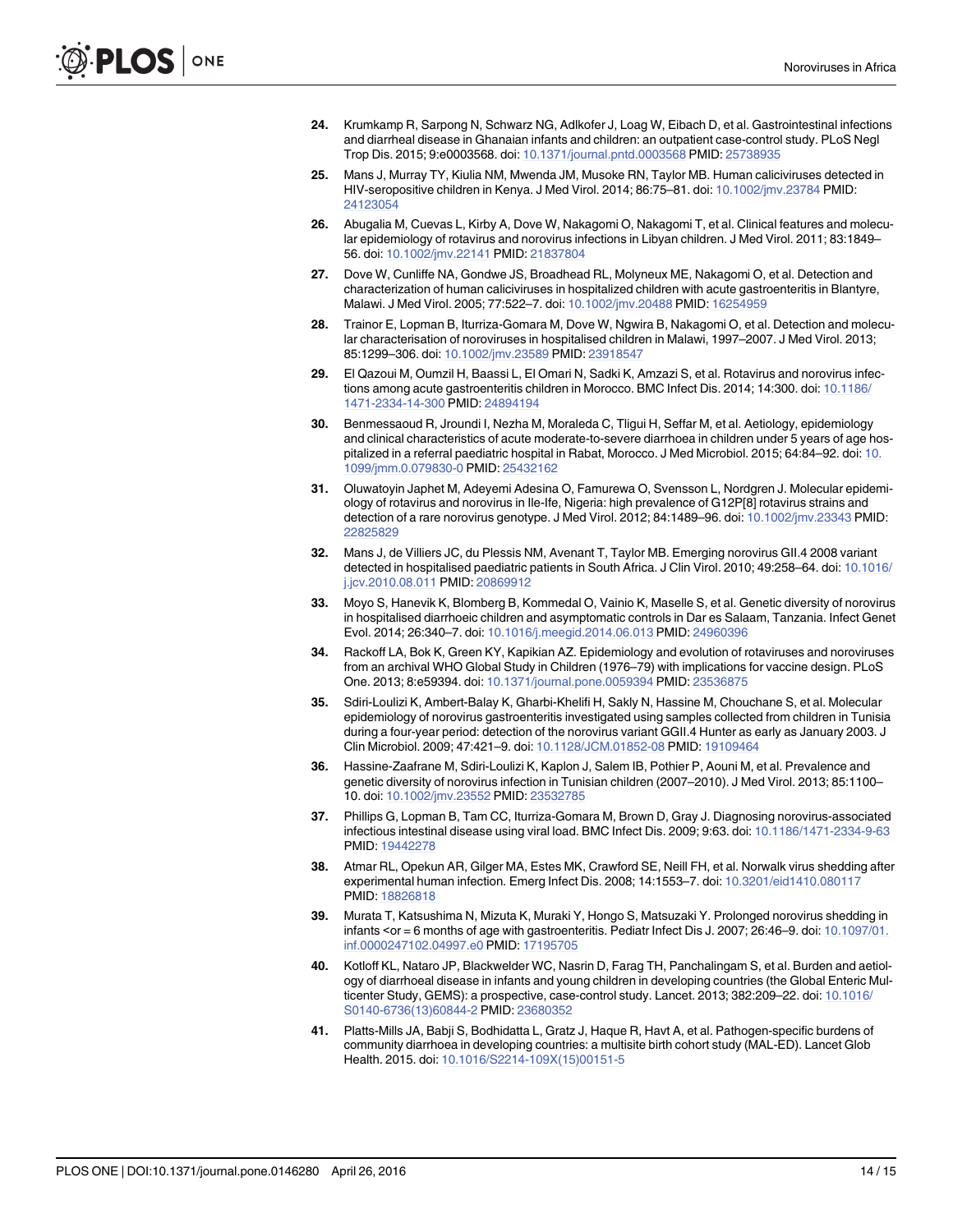- <span id="page-13-0"></span>[24.](#page-3-0) Krumkamp R, Sarpong N, Schwarz NG, Adlkofer J, Loag W, Eibach D, et al. Gastrointestinal infections and diarrheal disease in Ghanaian infants and children: an outpatient case-control study. PLoS Negl Trop Dis. 2015; 9:e0003568. doi: [10.1371/journal.pntd.0003568](http://dx.doi.org/10.1371/journal.pntd.0003568) PMID: [25738935](http://www.ncbi.nlm.nih.gov/pubmed/25738935)
- [25.](#page-3-0) Mans J, Murray TY, Kiulia NM, Mwenda JM, Musoke RN, Taylor MB. Human caliciviruses detected in HIV-seropositive children in Kenya. J Med Virol. 2014; 86:75–81. doi: [10.1002/jmv.23784](http://dx.doi.org/10.1002/jmv.23784) PMID: [24123054](http://www.ncbi.nlm.nih.gov/pubmed/24123054)
- [26.](#page-3-0) Abugalia M, Cuevas L, Kirby A, Dove W, Nakagomi O, Nakagomi T, et al. Clinical features and molecular epidemiology of rotavirus and norovirus infections in Libyan children. J Med Virol. 2011; 83:1849– 56. doi: [10.1002/jmv.22141](http://dx.doi.org/10.1002/jmv.22141) PMID: [21837804](http://www.ncbi.nlm.nih.gov/pubmed/21837804)
- [27.](#page-3-0) Dove W, Cunliffe NA, Gondwe JS, Broadhead RL, Molyneux ME, Nakagomi O, et al. Detection and characterization of human caliciviruses in hospitalized children with acute gastroenteritis in Blantyre, Malawi. J Med Virol. 2005; 77:522–7. doi: [10.1002/jmv.20488](http://dx.doi.org/10.1002/jmv.20488) PMID: [16254959](http://www.ncbi.nlm.nih.gov/pubmed/16254959)
- [28.](#page-4-0) Trainor E, Lopman B, Iturriza-Gomara M, Dove W, Ngwira B, Nakagomi O, et al. Detection and molecular characterisation of noroviruses in hospitalised children in Malawi, 1997–2007. J Med Virol. 2013; 85:1299–306. doi: [10.1002/jmv.23589](http://dx.doi.org/10.1002/jmv.23589) PMID: [23918547](http://www.ncbi.nlm.nih.gov/pubmed/23918547)
- [29.](#page-4-0) El Qazoui M, Oumzil H, Baassi L, El Omari N, Sadki K, Amzazi S, et al. Rotavirus and norovirus infections among acute gastroenteritis children in Morocco. BMC Infect Dis. 2014; 14:300. doi: [10.1186/](http://dx.doi.org/10.1186/1471-2334-14-300) [1471-2334-14-300](http://dx.doi.org/10.1186/1471-2334-14-300) PMID: [24894194](http://www.ncbi.nlm.nih.gov/pubmed/24894194)
- [30.](#page-4-0) Benmessaoud R, Jroundi I, Nezha M, Moraleda C, Tligui H, Seffar M, et al. Aetiology, epidemiology and clinical characteristics of acute moderate-to-severe diarrhoea in children under 5 years of age hospitalized in a referral paediatric hospital in Rabat, Morocco. J Med Microbiol. 2015; 64:84–92. doi: [10.](http://dx.doi.org/10.1099/jmm.0.079830-0) [1099/jmm.0.079830-0](http://dx.doi.org/10.1099/jmm.0.079830-0) PMID: [25432162](http://www.ncbi.nlm.nih.gov/pubmed/25432162)
- [31.](#page-4-0) Oluwatoyin Japhet M, Adeyemi Adesina O, Famurewa O, Svensson L, Nordgren J. Molecular epidemiology of rotavirus and norovirus in Ile-Ife, Nigeria: high prevalence of G12P[8] rotavirus strains and detection of a rare norovirus genotype. J Med Virol. 2012; 84:1489–96. doi: [10.1002/jmv.23343](http://dx.doi.org/10.1002/jmv.23343) PMID: [22825829](http://www.ncbi.nlm.nih.gov/pubmed/22825829)
- [32.](#page-4-0) Mans J, de Villiers JC, du Plessis NM, Avenant T, Taylor MB. Emerging norovirus GII.4 2008 variant detected in hospitalised paediatric patients in South Africa. J Clin Virol. 2010; 49:258–64. doi: [10.1016/](http://dx.doi.org/10.1016/j.jcv.2010.08.011) [j.jcv.2010.08.011](http://dx.doi.org/10.1016/j.jcv.2010.08.011) PMID: [20869912](http://www.ncbi.nlm.nih.gov/pubmed/20869912)
- [33.](#page-4-0) Moyo S, Hanevik K, Blomberg B, Kommedal O, Vainio K, Maselle S, et al. Genetic diversity of norovirus in hospitalised diarrhoeic children and asymptomatic controls in Dar es Salaam, Tanzania. Infect Genet Evol. 2014; 26:340–7. doi: [10.1016/j.meegid.2014.06.013](http://dx.doi.org/10.1016/j.meegid.2014.06.013) PMID: [24960396](http://www.ncbi.nlm.nih.gov/pubmed/24960396)
- [34.](#page-4-0) Rackoff LA, Bok K, Green KY, Kapikian AZ. Epidemiology and evolution of rotaviruses and noroviruses from an archival WHO Global Study in Children (1976–79) with implications for vaccine design. PLoS One. 2013; 8:e59394. doi: [10.1371/journal.pone.0059394](http://dx.doi.org/10.1371/journal.pone.0059394) PMID: [23536875](http://www.ncbi.nlm.nih.gov/pubmed/23536875)
- [35.](#page-5-0) Sdiri-Loulizi K, Ambert-Balay K, Gharbi-Khelifi H, Sakly N, Hassine M, Chouchane S, et al. Molecular epidemiology of norovirus gastroenteritis investigated using samples collected from children in Tunisia during a four-year period: detection of the norovirus variant GGII.4 Hunter as early as January 2003. J Clin Microbiol. 2009; 47:421–9. doi: [10.1128/JCM.01852-08](http://dx.doi.org/10.1128/JCM.01852-08) PMID: [19109464](http://www.ncbi.nlm.nih.gov/pubmed/19109464)
- [36.](#page-5-0) Hassine-Zaafrane M, Sdiri-Loulizi K, Kaplon J, Salem IB, Pothier P, Aouni M, et al. Prevalence and genetic diversity of norovirus infection in Tunisian children (2007–2010). J Med Virol. 2013; 85:1100– 10. doi: [10.1002/jmv.23552](http://dx.doi.org/10.1002/jmv.23552) PMID: [23532785](http://www.ncbi.nlm.nih.gov/pubmed/23532785)
- [37.](#page-6-0) Phillips G, Lopman B, Tam CC, Iturriza-Gomara M, Brown D, Gray J. Diagnosing norovirus-associated infectious intestinal disease using viral load. BMC Infect Dis. 2009; 9:63. doi: [10.1186/1471-2334-9-63](http://dx.doi.org/10.1186/1471-2334-9-63) PMID: [19442278](http://www.ncbi.nlm.nih.gov/pubmed/19442278)
- Atmar RL, Opekun AR, Gilger MA, Estes MK, Crawford SE, Neill FH, et al. Norwalk virus shedding after experimental human infection. Emerg Infect Dis. 2008; 14:1553–7. doi: [10.3201/eid1410.080117](http://dx.doi.org/10.3201/eid1410.080117) PMID: [18826818](http://www.ncbi.nlm.nih.gov/pubmed/18826818)
- [39.](#page-6-0) Murata T, Katsushima N, Mizuta K, Muraki Y, Hongo S, Matsuzaki Y. Prolonged norovirus shedding in infants <or = 6 months of age with gastroenteritis. Pediatr Infect Dis J. 2007; 26:46–9. doi: [10.1097/01.](http://dx.doi.org/10.1097/01.inf.0000247102.04997.e0) [inf.0000247102.04997.e0](http://dx.doi.org/10.1097/01.inf.0000247102.04997.e0) PMID: [17195705](http://www.ncbi.nlm.nih.gov/pubmed/17195705)
- [40.](#page-6-0) Kotloff KL, Nataro JP, Blackwelder WC, Nasrin D, Farag TH, Panchalingam S, et al. Burden and aetiology of diarrhoeal disease in infants and young children in developing countries (the Global Enteric Multicenter Study, GEMS): a prospective, case-control study. Lancet. 2013; 382:209–22. doi: [10.1016/](http://dx.doi.org/10.1016/S0140-6736(13)60844-2) [S0140-6736\(13\)60844-2](http://dx.doi.org/10.1016/S0140-6736(13)60844-2) PMID: [23680352](http://www.ncbi.nlm.nih.gov/pubmed/23680352)
- [41.](#page-6-0) Platts-Mills JA, Babji S, Bodhidatta L, Gratz J, Haque R, Havt A, et al. Pathogen-specific burdens of community diarrhoea in developing countries: a multisite birth cohort study (MAL-ED). Lancet Glob Health. 2015. doi: [10.1016/S2214-109X\(15\)00151-5](http://dx.doi.org/10.1016/S2214-109X(15)00151-5)